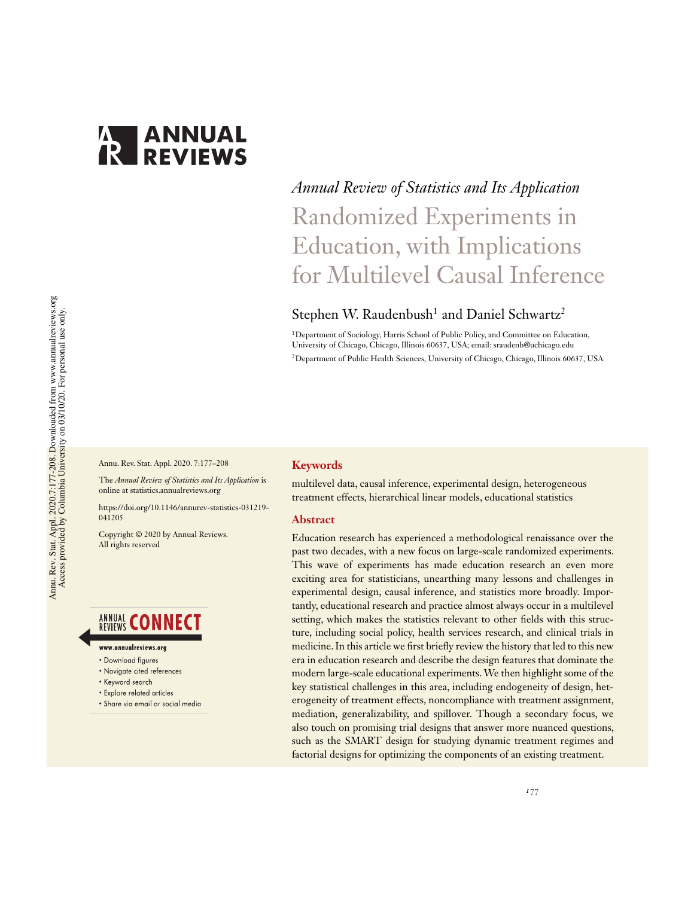

# *Annual Review of Statistics and Its Application* Randomized Experiments in Education, with Implications for Multilevel Causal Inference

# Stephen W. Raudenbush<sup>1</sup> and Daniel Schwartz<sup>2</sup>

<sup>1</sup>Department of Sociology, Harris School of Public Policy, and Committee on Education, University of Chicago, Chicago, Illinois 60637, USA; email: sraudenb@uchicago.edu <sup>2</sup>Department of Public Health Sciences, University of Chicago, Chicago, Illinois 60637, USA

Annu. Rev. Stat. Appl. 2020. 7:177–208

The *Annual Review of Statistics and Its Application* is online at statistics.annualreviews.org

https://doi.org/10.1146/annurev-statistics-031219- 041205

Copyright © 2020 by Annual Reviews. All rights reserved

# **ANNUAL CONNECT**

#### www.annualreviews.org

- Download figures
- Navigate cited references
- Keyword search
- · Explore related articles
- · Share via email or social media

#### **Keywords**

multilevel data, causal inference, experimental design, heterogeneous treatment effects, hierarchical linear models, educational statistics

#### **Abstract**

Education research has experienced a methodological renaissance over the past two decades, with a new focus on large-scale randomized experiments. This wave of experiments has made education research an even more exciting area for statisticians, unearthing many lessons and challenges in experimental design, causal inference, and statistics more broadly. Importantly, educational research and practice almost always occur in a multilevel setting, which makes the statistics relevant to other fields with this structure, including social policy, health services research, and clinical trials in medicine. In this article we first briefly review the history that led to this new era in education research and describe the design features that dominate the modern large-scale educational experiments. We then highlight some of the key statistical challenges in this area, including endogeneity of design, heterogeneity of treatment effects, noncompliance with treatment assignment, mediation, generalizability, and spillover. Though a secondary focus, we also touch on promising trial designs that answer more nuanced questions, such as the SMART design for studying dynamic treatment regimes and factorial designs for optimizing the components of an existing treatment.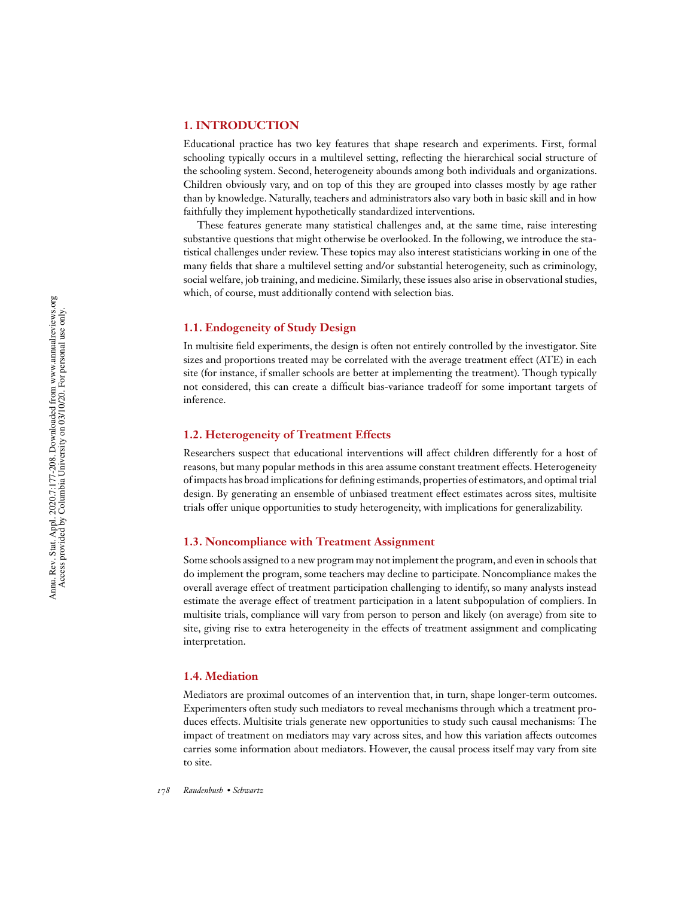# **1. INTRODUCTION**

Educational practice has two key features that shape research and experiments. First, formal schooling typically occurs in a multilevel setting, reflecting the hierarchical social structure of the schooling system. Second, heterogeneity abounds among both individuals and organizations. Children obviously vary, and on top of this they are grouped into classes mostly by age rather than by knowledge. Naturally, teachers and administrators also vary both in basic skill and in how faithfully they implement hypothetically standardized interventions.

These features generate many statistical challenges and, at the same time, raise interesting substantive questions that might otherwise be overlooked. In the following, we introduce the statistical challenges under review. These topics may also interest statisticians working in one of the many fields that share a multilevel setting and/or substantial heterogeneity, such as criminology, social welfare, job training, and medicine. Similarly, these issues also arise in observational studies, which, of course, must additionally contend with selection bias.

### **1.1. Endogeneity of Study Design**

In multisite field experiments, the design is often not entirely controlled by the investigator. Site sizes and proportions treated may be correlated with the average treatment effect (ATE) in each site (for instance, if smaller schools are better at implementing the treatment). Though typically not considered, this can create a difficult bias-variance tradeoff for some important targets of inference.

# **1.2. Heterogeneity of Treatment Effects**

Researchers suspect that educational interventions will affect children differently for a host of reasons, but many popular methods in this area assume constant treatment effects. Heterogeneity of impacts has broad implications for defining estimands, properties of estimators, and optimal trial design. By generating an ensemble of unbiased treatment effect estimates across sites, multisite trials offer unique opportunities to study heterogeneity, with implications for generalizability.

# **1.3. Noncompliance with Treatment Assignment**

Some schools assigned to a new program may not implement the program, and even in schools that do implement the program, some teachers may decline to participate. Noncompliance makes the overall average effect of treatment participation challenging to identify, so many analysts instead estimate the average effect of treatment participation in a latent subpopulation of compliers. In multisite trials, compliance will vary from person to person and likely (on average) from site to site, giving rise to extra heterogeneity in the effects of treatment assignment and complicating interpretation.

# **1.4. Mediation**

Mediators are proximal outcomes of an intervention that, in turn, shape longer-term outcomes. Experimenters often study such mediators to reveal mechanisms through which a treatment produces effects. Multisite trials generate new opportunities to study such causal mechanisms: The impact of treatment on mediators may vary across sites, and how this variation affects outcomes carries some information about mediators. However, the causal process itself may vary from site to site.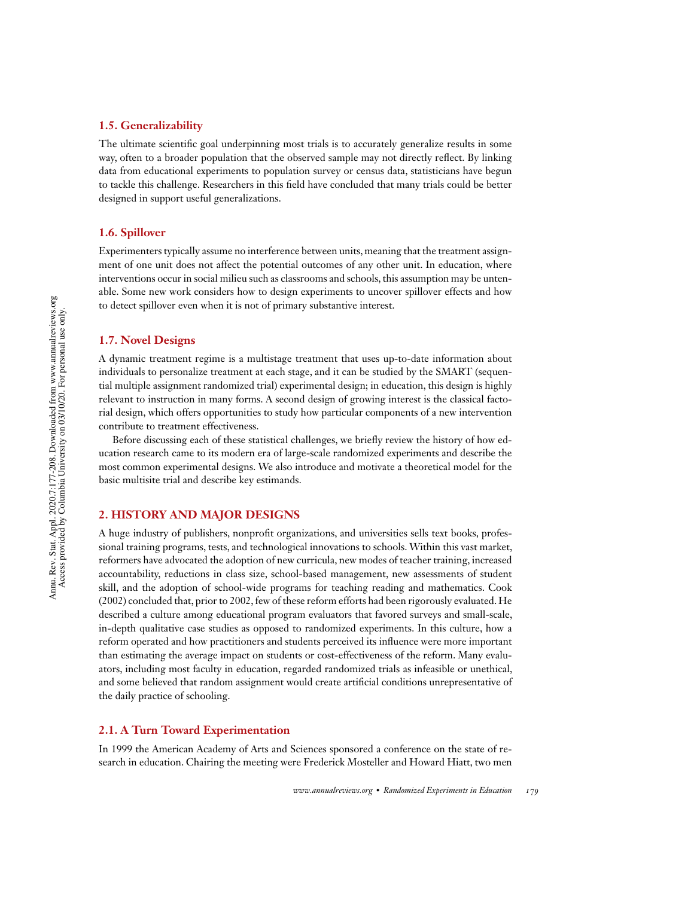# **1.5. Generalizability**

The ultimate scientific goal underpinning most trials is to accurately generalize results in some way, often to a broader population that the observed sample may not directly reflect. By linking data from educational experiments to population survey or census data, statisticians have begun to tackle this challenge. Researchers in this field have concluded that many trials could be better designed in support useful generalizations.

# **1.6. Spillover**

Experimenters typically assume no interference between units, meaning that the treatment assignment of one unit does not affect the potential outcomes of any other unit. In education, where interventions occur in social milieu such as classrooms and schools, this assumption may be untenable. Some new work considers how to design experiments to uncover spillover effects and how to detect spillover even when it is not of primary substantive interest.

# **1.7. Novel Designs**

A dynamic treatment regime is a multistage treatment that uses up-to-date information about individuals to personalize treatment at each stage, and it can be studied by the SMART (sequential multiple assignment randomized trial) experimental design; in education, this design is highly relevant to instruction in many forms. A second design of growing interest is the classical factorial design, which offers opportunities to study how particular components of a new intervention contribute to treatment effectiveness.

Before discussing each of these statistical challenges, we briefly review the history of how education research came to its modern era of large-scale randomized experiments and describe the most common experimental designs. We also introduce and motivate a theoretical model for the basic multisite trial and describe key estimands.

# **2. HISTORY AND MAJOR DESIGNS**

A huge industry of publishers, nonprofit organizations, and universities sells text books, professional training programs, tests, and technological innovations to schools. Within this vast market, reformers have advocated the adoption of new curricula, new modes of teacher training, increased accountability, reductions in class size, school-based management, new assessments of student skill, and the adoption of school-wide programs for teaching reading and mathematics. Cook (2002) concluded that, prior to 2002, few of these reform efforts had been rigorously evaluated. He described a culture among educational program evaluators that favored surveys and small-scale, in-depth qualitative case studies as opposed to randomized experiments. In this culture, how a reform operated and how practitioners and students perceived its influence were more important than estimating the average impact on students or cost-effectiveness of the reform. Many evaluators, including most faculty in education, regarded randomized trials as infeasible or unethical, and some believed that random assignment would create artificial conditions unrepresentative of the daily practice of schooling.

### **2.1. A Turn Toward Experimentation**

In 1999 the American Academy of Arts and Sciences sponsored a conference on the state of research in education. Chairing the meeting were Frederick Mosteller and Howard Hiatt, two men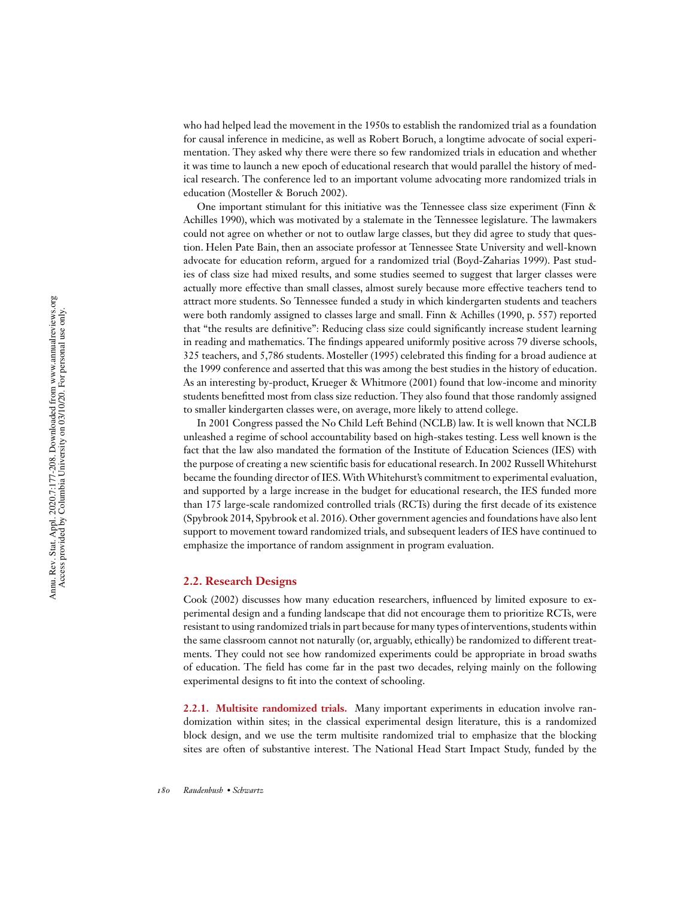who had helped lead the movement in the 1950s to establish the randomized trial as a foundation for causal inference in medicine, as well as Robert Boruch, a longtime advocate of social experimentation. They asked why there were there so few randomized trials in education and whether it was time to launch a new epoch of educational research that would parallel the history of medical research. The conference led to an important volume advocating more randomized trials in education (Mosteller & Boruch 2002).

One important stimulant for this initiative was the Tennessee class size experiment (Finn & Achilles 1990), which was motivated by a stalemate in the Tennessee legislature. The lawmakers could not agree on whether or not to outlaw large classes, but they did agree to study that question. Helen Pate Bain, then an associate professor at Tennessee State University and well-known advocate for education reform, argued for a randomized trial (Boyd-Zaharias 1999). Past studies of class size had mixed results, and some studies seemed to suggest that larger classes were actually more effective than small classes, almost surely because more effective teachers tend to attract more students. So Tennessee funded a study in which kindergarten students and teachers were both randomly assigned to classes large and small. Finn & Achilles (1990, p. 557) reported that "the results are definitive": Reducing class size could significantly increase student learning in reading and mathematics. The findings appeared uniformly positive across 79 diverse schools, 325 teachers, and 5,786 students. Mosteller (1995) celebrated this finding for a broad audience at the 1999 conference and asserted that this was among the best studies in the history of education. As an interesting by-product, Krueger & Whitmore (2001) found that low-income and minority students benefitted most from class size reduction. They also found that those randomly assigned to smaller kindergarten classes were, on average, more likely to attend college.

In 2001 Congress passed the No Child Left Behind (NCLB) law. It is well known that NCLB unleashed a regime of school accountability based on high-stakes testing. Less well known is the fact that the law also mandated the formation of the Institute of Education Sciences (IES) with the purpose of creating a new scientific basis for educational research. In 2002 Russell Whitehurst became the founding director of IES.With Whitehurst's commitment to experimental evaluation, and supported by a large increase in the budget for educational research, the IES funded more than 175 large-scale randomized controlled trials (RCTs) during the first decade of its existence (Spybrook 2014, Spybrook et al. 2016). Other government agencies and foundations have also lent support to movement toward randomized trials, and subsequent leaders of IES have continued to emphasize the importance of random assignment in program evaluation.

#### **2.2. Research Designs**

Cook (2002) discusses how many education researchers, influenced by limited exposure to experimental design and a funding landscape that did not encourage them to prioritize RCTs, were resistant to using randomized trials in part because for many types of interventions, students within the same classroom cannot not naturally (or, arguably, ethically) be randomized to different treatments. They could not see how randomized experiments could be appropriate in broad swaths of education. The field has come far in the past two decades, relying mainly on the following experimental designs to fit into the context of schooling.

**2.2.1. Multisite randomized trials.** Many important experiments in education involve randomization within sites; in the classical experimental design literature, this is a randomized block design, and we use the term multisite randomized trial to emphasize that the blocking sites are often of substantive interest. The National Head Start Impact Study, funded by the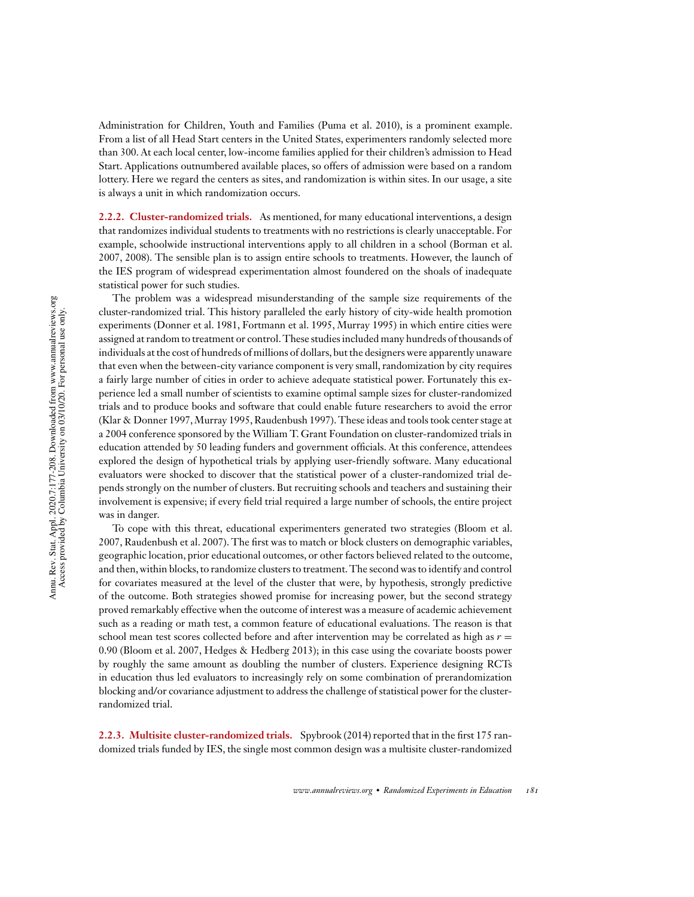Administration for Children, Youth and Families (Puma et al. 2010), is a prominent example. From a list of all Head Start centers in the United States, experimenters randomly selected more than 300. At each local center, low-income families applied for their children's admission to Head Start. Applications outnumbered available places, so offers of admission were based on a random lottery. Here we regard the centers as sites, and randomization is within sites. In our usage, a site is always a unit in which randomization occurs.

**2.2.2. Cluster-randomized trials.** As mentioned, for many educational interventions, a design that randomizes individual students to treatments with no restrictions is clearly unacceptable. For example, schoolwide instructional interventions apply to all children in a school (Borman et al. 2007, 2008). The sensible plan is to assign entire schools to treatments. However, the launch of the IES program of widespread experimentation almost foundered on the shoals of inadequate statistical power for such studies.

The problem was a widespread misunderstanding of the sample size requirements of the cluster-randomized trial. This history paralleled the early history of city-wide health promotion experiments (Donner et al. 1981, Fortmann et al. 1995, Murray 1995) in which entire cities were assigned at random to treatment or control. These studies included many hundreds of thousands of individuals at the cost of hundreds of millions of dollars, but the designers were apparently unaware that even when the between-city variance component is very small, randomization by city requires a fairly large number of cities in order to achieve adequate statistical power. Fortunately this experience led a small number of scientists to examine optimal sample sizes for cluster-randomized trials and to produce books and software that could enable future researchers to avoid the error (Klar & Donner 1997,Murray 1995, Raudenbush 1997). These ideas and tools took center stage at a 2004 conference sponsored by the William T. Grant Foundation on cluster-randomized trials in education attended by 50 leading funders and government officials. At this conference, attendees explored the design of hypothetical trials by applying user-friendly software. Many educational evaluators were shocked to discover that the statistical power of a cluster-randomized trial depends strongly on the number of clusters. But recruiting schools and teachers and sustaining their involvement is expensive; if every field trial required a large number of schools, the entire project was in danger.

To cope with this threat, educational experimenters generated two strategies (Bloom et al. 2007, Raudenbush et al. 2007). The first was to match or block clusters on demographic variables, geographic location, prior educational outcomes, or other factors believed related to the outcome, and then, within blocks, to randomize clusters to treatment. The second was to identify and control for covariates measured at the level of the cluster that were, by hypothesis, strongly predictive of the outcome. Both strategies showed promise for increasing power, but the second strategy proved remarkably effective when the outcome of interest was a measure of academic achievement such as a reading or math test, a common feature of educational evaluations. The reason is that school mean test scores collected before and after intervention may be correlated as high as *r* = 0.90 (Bloom et al. 2007, Hedges & Hedberg 2013); in this case using the covariate boosts power by roughly the same amount as doubling the number of clusters. Experience designing RCTs in education thus led evaluators to increasingly rely on some combination of prerandomization blocking and/or covariance adjustment to address the challenge of statistical power for the clusterrandomized trial.

**2.2.3. Multisite cluster-randomized trials.** Spybrook (2014) reported that in the first 175 randomized trials funded by IES, the single most common design was a multisite cluster-randomized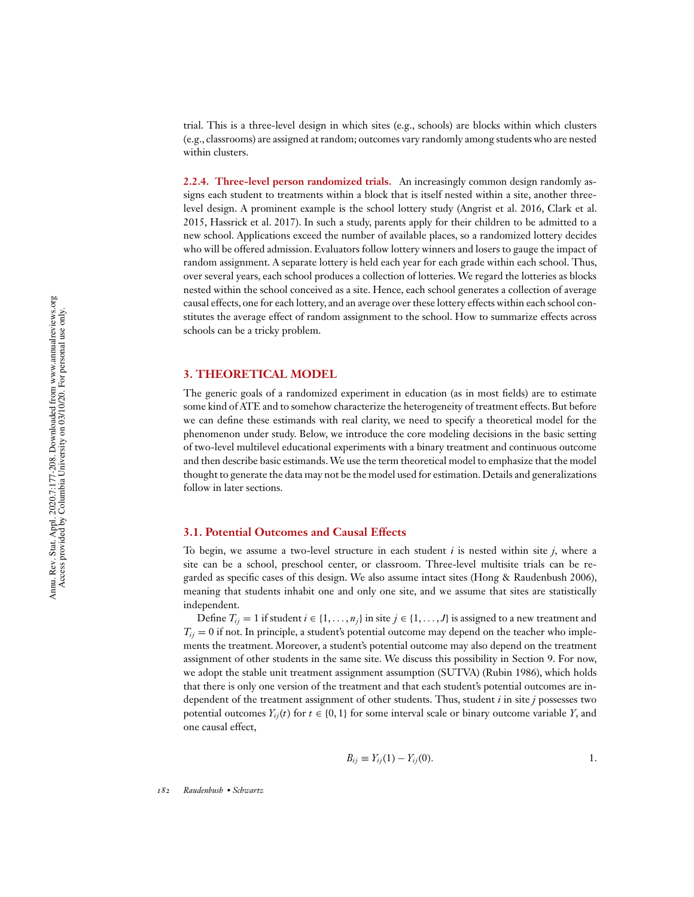trial. This is a three-level design in which sites (e.g., schools) are blocks within which clusters (e.g., classrooms) are assigned at random; outcomes vary randomly among students who are nested within clusters.

**2.2.4. Three-level person randomized trials.** An increasingly common design randomly assigns each student to treatments within a block that is itself nested within a site, another threelevel design. A prominent example is the school lottery study (Angrist et al. 2016, Clark et al. 2015, Hassrick et al. 2017). In such a study, parents apply for their children to be admitted to a new school. Applications exceed the number of available places, so a randomized lottery decides who will be offered admission. Evaluators follow lottery winners and losers to gauge the impact of random assignment. A separate lottery is held each year for each grade within each school. Thus, over several years, each school produces a collection of lotteries. We regard the lotteries as blocks nested within the school conceived as a site. Hence, each school generates a collection of average causal effects, one for each lottery, and an average over these lottery effects within each school constitutes the average effect of random assignment to the school. How to summarize effects across schools can be a tricky problem.

#### **3. THEORETICAL MODEL**

The generic goals of a randomized experiment in education (as in most fields) are to estimate some kind of ATE and to somehow characterize the heterogeneity of treatment effects. But before we can define these estimands with real clarity, we need to specify a theoretical model for the phenomenon under study. Below, we introduce the core modeling decisions in the basic setting of two-level multilevel educational experiments with a binary treatment and continuous outcome and then describe basic estimands.We use the term theoretical model to emphasize that the model thought to generate the data may not be the model used for estimation. Details and generalizations follow in later sections.

# **3.1. Potential Outcomes and Causal Effects**

To begin, we assume a two-level structure in each student *i* is nested within site *j*, where a site can be a school, preschool center, or classroom. Three-level multisite trials can be regarded as specific cases of this design. We also assume intact sites (Hong & Raudenbush 2006), meaning that students inhabit one and only one site, and we assume that sites are statistically independent.

Define  $T_i = 1$  if student  $i \in \{1, \ldots, n_i\}$  in site  $j \in \{1, \ldots, J\}$  is assigned to a new treatment and  $T_{ij} = 0$  if not. In principle, a student's potential outcome may depend on the teacher who implements the treatment. Moreover, a student's potential outcome may also depend on the treatment assignment of other students in the same site. We discuss this possibility in Section 9. For now, we adopt the stable unit treatment assignment assumption (SUTVA) (Rubin 1986), which holds that there is only one version of the treatment and that each student's potential outcomes are independent of the treatment assignment of other students. Thus, student *i* in site *j* possesses two potential outcomes  $Y_{ij}(t)$  for  $t \in \{0, 1\}$  for some interval scale or binary outcome variable *Y*, and one causal effect,

$$
B_{ij} \equiv Y_{ij}(1) - Y_{ij}(0).
$$
 1.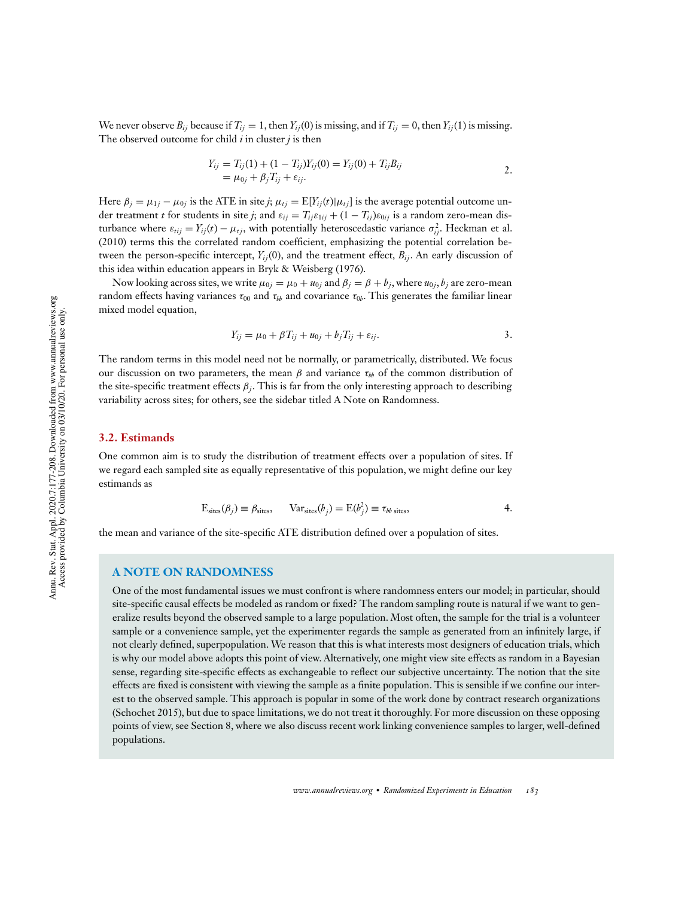We never observe  $B_i$  because if  $T_i$  = 1, then  $Y_i$  (0) is missing, and if  $T_i$  = 0, then  $Y_i$  (1) is missing. The observed outcome for child *i* in cluster *j* is then

$$
Y_{ij} = T_{ij}(1) + (1 - T_{ij})Y_{ij}(0) = Y_{ij}(0) + T_{ij}B_{ij}
$$
  
=  $\mu_{0j} + \beta_j T_{ij} + \varepsilon_{ij}$ .

Here  $\beta_j = \mu_{1j} - \mu_{0j}$  is the ATE in site *j*;  $\mu_{tj} = E[Y_{ij}(t)|\mu_{tj}]$  is the average potential outcome under treatment *t* for students in site *j*; and  $\varepsilon_{ij} = T_{ij}\varepsilon_{1ij} + (1 - T_{ij})\varepsilon_{0ij}$  is a random zero-mean disturbance where  $\varepsilon_{tij} = Y_{ij}(t) - \mu_{tj}$ , with potentially heteroscedastic variance  $\sigma_{ij}^2$ . Heckman et al. (2010) terms this the correlated random coefficient, emphasizing the potential correlation between the person-specific intercept,  $Y_{ii}(0)$ , and the treatment effect,  $B_{ii}$ . An early discussion of this idea within education appears in Bryk & Weisberg (1976).

Now looking across sites, we write  $\mu_{0j} = \mu_0 + u_{0j}$  and  $\beta_j = \beta + b_j$ , where  $u_{0j}, b_j$  are zero-mean random effects having variances  $\tau_{00}$  and  $\tau_{bb}$  and covariance  $\tau_{0b}$ . This generates the familiar linear mixed model equation,

$$
Y_{ij} = \mu_0 + \beta T_{ij} + u_{0j} + b_j T_{ij} + \varepsilon_{ij}.
$$

The random terms in this model need not be normally, or parametrically, distributed. We focus our discussion on two parameters, the mean  $\beta$  and variance  $\tau_{bb}$  of the common distribution of the site-specific treatment effects  $\beta_j$ . This is far from the only interesting approach to describing variability across sites; for others, see the sidebar titled A Note on Randomness.

# **3.2. Estimands**

One common aim is to study the distribution of treatment effects over a population of sites. If we regard each sampled site as equally representative of this population, we might define our key estimands as

$$
E_{\text{sites}}(\beta_j) \equiv \beta_{\text{sites}}, \qquad \text{Var}_{\text{sites}}(b_j) = E(b_j^2) \equiv \tau_{bb \text{ sites}}, \tag{4}
$$

the mean and variance of the site-specific ATE distribution defined over a population of sites.

#### **A NOTE ON RANDOMNESS**

One of the most fundamental issues we must confront is where randomness enters our model; in particular, should site-specific causal effects be modeled as random or fixed? The random sampling route is natural if we want to generalize results beyond the observed sample to a large population. Most often, the sample for the trial is a volunteer sample or a convenience sample, yet the experimenter regards the sample as generated from an infinitely large, if not clearly defined, superpopulation. We reason that this is what interests most designers of education trials, which is why our model above adopts this point of view. Alternatively, one might view site effects as random in a Bayesian sense, regarding site-specific effects as exchangeable to reflect our subjective uncertainty. The notion that the site effects are fixed is consistent with viewing the sample as a finite population. This is sensible if we confine our interest to the observed sample. This approach is popular in some of the work done by contract research organizations (Schochet 2015), but due to space limitations, we do not treat it thoroughly. For more discussion on these opposing points of view, see Section 8, where we also discuss recent work linking convenience samples to larger, well-defined populations.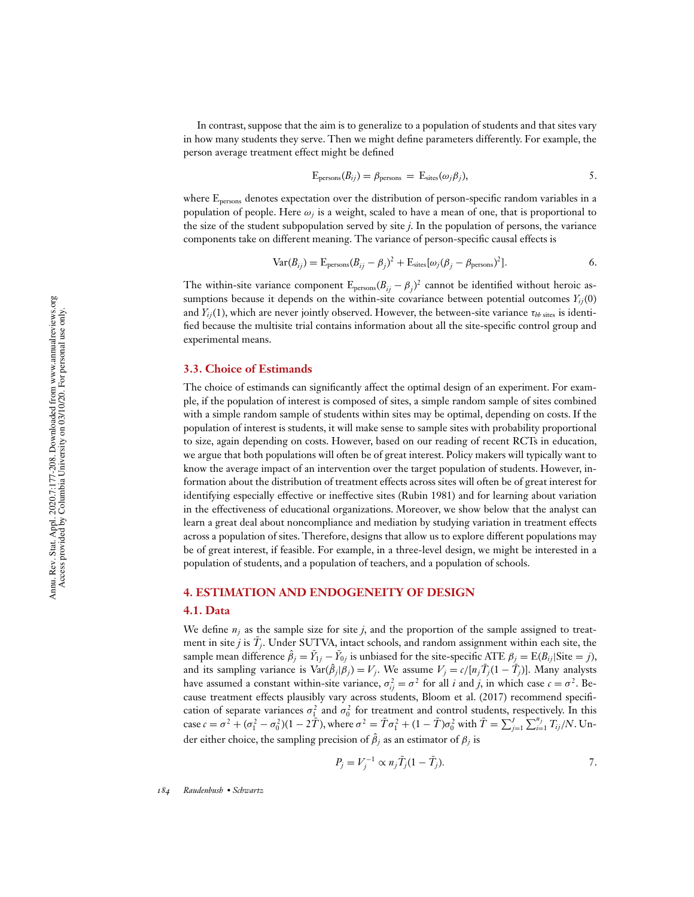In contrast, suppose that the aim is to generalize to a population of students and that sites vary in how many students they serve. Then we might define parameters differently. For example, the person average treatment effect might be defined

$$
E_{\text{persons}}(B_{ij}) = \beta_{\text{persons}} = E_{\text{sites}}(\omega_j \beta_j), \qquad 5.
$$

where Epersons denotes expectation over the distribution of person-specific random variables in a population of people. Here  $\omega_j$  is a weight, scaled to have a mean of one, that is proportional to the size of the student subpopulation served by site *j*. In the population of persons, the variance components take on different meaning. The variance of person-specific causal effects is

$$
Var(B_{ij}) = E_{\text{persons}}(B_{ij} - \beta_j)^2 + E_{\text{sites}}[\omega_j(\beta_j - \beta_{\text{persons}})^2].
$$

The within-site variance component  $E_{\text{persons}}(B_{ij} - \beta_j)^2$  cannot be identified without heroic assumptions because it depends on the within-site covariance between potential outcomes  $Y_{ij}(0)$ and  $Y_{ij}(1)$ , which are never jointly observed. However, the between-site variance  $\tau_{bb\ j}$  sites is identified because the multisite trial contains information about all the site-specific control group and experimental means.

### **3.3. Choice of Estimands**

The choice of estimands can significantly affect the optimal design of an experiment. For example, if the population of interest is composed of sites, a simple random sample of sites combined with a simple random sample of students within sites may be optimal, depending on costs. If the population of interest is students, it will make sense to sample sites with probability proportional to size, again depending on costs. However, based on our reading of recent RCTs in education, we argue that both populations will often be of great interest. Policy makers will typically want to know the average impact of an intervention over the target population of students. However, information about the distribution of treatment effects across sites will often be of great interest for identifying especially effective or ineffective sites (Rubin 1981) and for learning about variation in the effectiveness of educational organizations. Moreover, we show below that the analyst can learn a great deal about noncompliance and mediation by studying variation in treatment effects across a population of sites. Therefore, designs that allow us to explore different populations may be of great interest, if feasible. For example, in a three-level design, we might be interested in a population of students, and a population of teachers, and a population of schools.

# **4. ESTIMATION AND ENDOGENEITY OF DESIGN**

#### **4.1. Data**

We define  $n_i$  as the sample size for site *j*, and the proportion of the sample assigned to treatment in site  $j$  is  $\bar{T}_j$ . Under SUTVA, intact schools, and random assignment within each site, the sample mean difference  $\hat{\beta}_j = \bar{Y}_{1j} - \bar{Y}_{0j}$  is unbiased for the site-specific ATE  $\beta_j = \text{E}(B_{ij}|\text{Site}=j)$ , and its sampling variance is  $\text{Var}(\hat{\beta}_j|\beta_j) = V_j$ . We assume  $V_j = c/[n_j\bar{T}_j(1-\bar{T}_j)]$ . Many analysts have assumed a constant within-site variance,  $\sigma_{ij}^2 = \sigma^2$  for all *i* and *j*, in which case  $c = \sigma^2$ . Because treatment effects plausibly vary across students, Bloom et al. (2017) recommend specification of separate variances  $\sigma_1^2$  and  $\sigma_0^2$  for treatment and control students, respectively. In this case  $c = \sigma^2 + (\sigma_1^2 - \sigma_0^2)(1 - 2\tilde{T})$ , where  $\sigma^2 = \bar{T}\sigma_1^2 + (1 - \bar{T})\sigma_0^2$  with  $\bar{T} = \sum_j$  $J_{j=1} \sum_{i=1}^{n_j} T_{ij} / N$ . Under either choice, the sampling precision of  $\hat{\beta}_j$  as an estimator of  $\beta_j$  is

$$
P_j = V_j^{-1} \propto n_j \bar{T}_j (1 - \bar{T}_j).
$$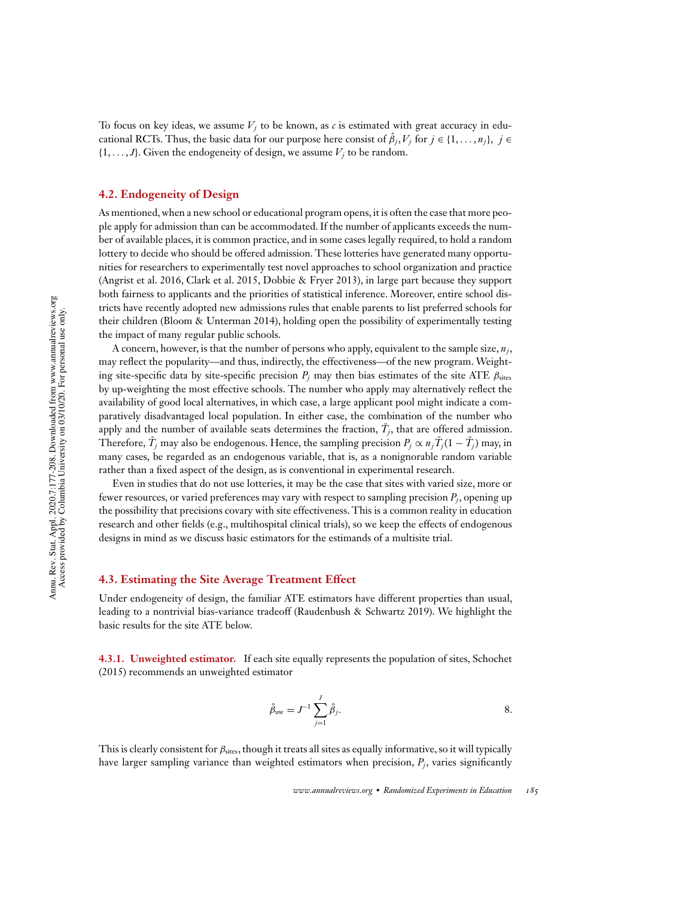To focus on key ideas, we assume  $V_i$  to be known, as  $c$  is estimated with great accuracy in educational RCTs. Thus, the basic data for our purpose here consist of  $\hat{\beta}_j, V_j$  for  $j \in \{1, \ldots, n_j\}, j \in$  $\{1, \ldots, J\}$ . Given the endogeneity of design, we assume  $V_j$  to be random.

# **4.2. Endogeneity of Design**

As mentioned, when a new school or educational program opens, it is often the case that more people apply for admission than can be accommodated. If the number of applicants exceeds the number of available places, it is common practice, and in some cases legally required, to hold a random lottery to decide who should be offered admission. These lotteries have generated many opportunities for researchers to experimentally test novel approaches to school organization and practice (Angrist et al. 2016, Clark et al. 2015, Dobbie & Fryer 2013), in large part because they support both fairness to applicants and the priorities of statistical inference. Moreover, entire school districts have recently adopted new admissions rules that enable parents to list preferred schools for their children (Bloom & Unterman 2014), holding open the possibility of experimentally testing the impact of many regular public schools.

A concern, however, is that the number of persons who apply, equivalent to the sample size, *n<sup>j</sup>* , may reflect the popularity—and thus, indirectly, the effectiveness—of the new program. Weighting site-specific data by site-specific precision  $P_j$  may then bias estimates of the site ATE  $\beta_{\text{sites}}$ by up-weighting the most effective schools. The number who apply may alternatively reflect the availability of good local alternatives, in which case, a large applicant pool might indicate a comparatively disadvantaged local population. In either case, the combination of the number who apply and the number of available seats determines the fraction,  $\bar{T}_j$ , that are offered admission. Therefore,  $\bar{T}_j$  may also be endogenous. Hence, the sampling precision  $P_j \propto n_j \bar{T}_j (1 - \bar{T}_j)$  may, in many cases, be regarded as an endogenous variable, that is, as a nonignorable random variable rather than a fixed aspect of the design, as is conventional in experimental research.

Even in studies that do not use lotteries, it may be the case that sites with varied size, more or fewer resources, or varied preferences may vary with respect to sampling precision  $P_j$ , opening up the possibility that precisions covary with site effectiveness. This is a common reality in education research and other fields (e.g., multihospital clinical trials), so we keep the effects of endogenous designs in mind as we discuss basic estimators for the estimands of a multisite trial.

# **4.3. Estimating the Site Average Treatment Effect**

Under endogeneity of design, the familiar ATE estimators have different properties than usual, leading to a nontrivial bias-variance tradeoff (Raudenbush & Schwartz 2019). We highlight the basic results for the site ATE below.

**4.3.1. Unweighted estimator.** If each site equally represents the population of sites, Schochet (2015) recommends an unweighted estimator

$$
\hat{\beta}_{\text{uw}} = J^{-1} \sum_{j=1}^{J} \hat{\beta}_{j}.
$$
8.

This is clearly consistent for  $\beta_{\text{sites}}$ , though it treats all sites as equally informative, so it will typically have larger sampling variance than weighted estimators when precision,  $P_j$ , varies significantly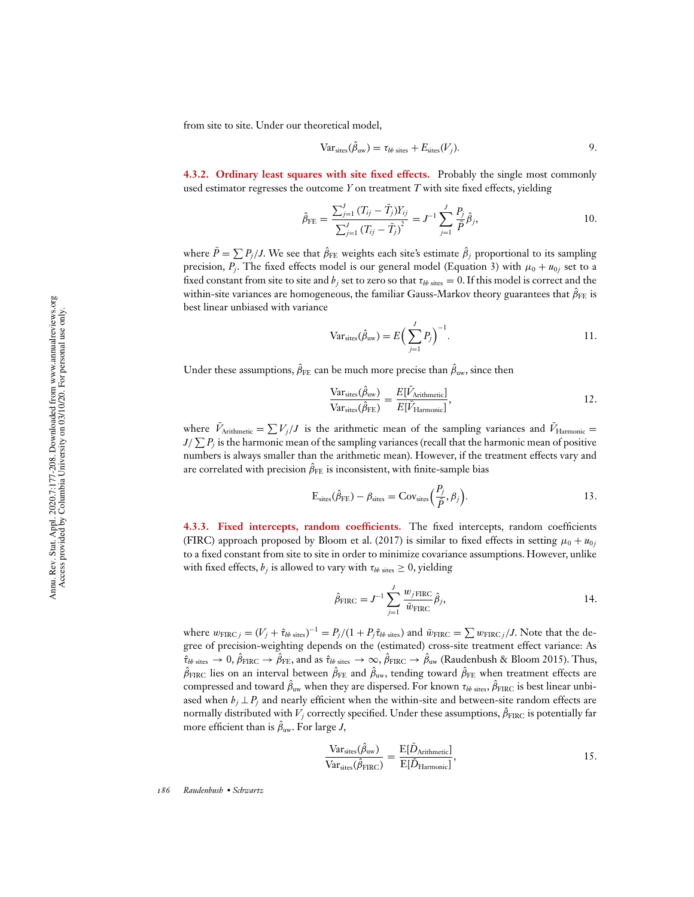from site to site. Under our theoretical model,

$$
Var_{\text{sites}}(\hat{\beta}_{\text{uw}}) = \tau_{bb \text{ sites}} + E_{\text{sites}}(V_j).
$$

**4.3.2. Ordinary least squares with site fixed effects.** Probably the single most commonly used estimator regresses the outcome *Y* on treatment *T* with site fixed effects, yielding

$$
\hat{\beta}_{\text{FE}} = \frac{\sum_{j=1}^{J} (T_{ij} - \bar{T}_j) Y_{ij}}{\sum_{j=1}^{J} (T_{ij} - \bar{T}_j)^2} = J^{-1} \sum_{j=1}^{J} \frac{P_j}{\bar{P}} \hat{\beta}_j,
$$
\n(10.

where  $\bar{P} = \sum P_j / J$ . We see that  $\hat{\beta}_{\rm FE}$  weights each site's estimate  $\hat{\beta}_j$  proportional to its sampling precision,  $P_j$ . The fixed effects model is our general model (Equation 3) with  $\mu_0 + u_{0j}$  set to a fixed constant from site to site and  $b_j$  set to zero so that  $\tau_{bb\ s{\rm tres}} = 0$ . If this model is correct and the within-site variances are homogeneous, the familiar Gauss-Markov theory guarantees that  $\hat{\beta}_{\mathrm{FE}}$  is best linear unbiased with variance

$$
\text{Var}_{\text{sites}}(\hat{\beta}_{\text{uw}}) = E\Big(\sum_{j=1}^{J} P_j\Big)^{-1}.
$$

Under these assumptions,  $\hat{\beta}_{\text{FE}}$  can be much more precise than  $\hat{\beta}_{\text{uw}},$  since then

$$
\frac{\text{Var}_{\text{sites}}(\hat{\beta}_{\text{uw}})}{\text{Var}_{\text{sites}}(\hat{\beta}_{\text{FE}})} = \frac{E[\bar{V}_{\text{Arithmetic}}]}{E[\bar{V}_{\text{Harmonic}}]},
$$

where  $\bar{V}_{\text{Arithmetic}} = \sum V_j / J$  is the arithmetic mean of the sampling variances and  $\bar{V}_{\text{Harmonic}} =$  $J/\sum P_j$  is the harmonic mean of the sampling variances (recall that the harmonic mean of positive numbers is always smaller than the arithmetic mean). However, if the treatment effects vary and are correlated with precision  $\hat{\beta }_{\mathrm{FE}}$  is inconsistent, with finite-sample bias

$$
E_{\text{sites}}(\hat{\beta}_{\text{FE}}) - \beta_{\text{sites}} = \text{Cov}_{\text{sites}}\left(\frac{P_j}{\bar{P}}, \beta_j\right). \tag{13}
$$

**4.3.3. Fixed intercepts, random coefficients.** The fixed intercepts, random coefficients (FIRC) approach proposed by Bloom et al. (2017) is similar to fixed effects in setting  $\mu_0 + u_{0j}$ to a fixed constant from site to site in order to minimize covariance assumptions. However, unlike with fixed effects,  $b_j$  is allowed to vary with  $\tau_{bb\; sites} \geq 0,$  yielding

$$
\hat{\beta}_{\text{FIRC}} = J^{-1} \sum_{j=1}^{J} \frac{w_{j \text{ FIRC}}}{\bar{w}_{\text{FIRC}}} \hat{\beta}_j,
$$

where  $w_{\text{FIRC }j} = (V_j + \hat{\tau}_{bb \text{ sites}})^{-1} = P_j/(1 + P_j\hat{\tau}_{bb \text{ sites}})$  and  $\bar{w}_{\text{FIRC}} = \sum w_{\text{FIRC }j}/J$ . Note that the degree of precision-weighting depends on the (estimated) cross-site treatment effect variance: As  $\hat{\tau}_{bb\,\rm sites}\to 0$ ,  $\hat{\beta}_{\rm FIRC}\to \hat{\beta}_{\rm FE}$ , and as  $\hat{\tau}_{bb\,\rm sites}\to \infty$ ,  $\hat{\beta}_{\rm FIRC}\to \hat{\beta}_{\rm uw}$  (Raudenbush & Bloom 2015). Thus,  $\hat{\beta}_{\rm FIRC}$  lies on an interval between  $\hat{\beta}_{\rm FE}$  and  $\hat{\beta}_{\rm uw}$ , tending toward  $\hat{\beta}_{\rm FE}$  when treatment effects are compressed and toward  $\hat{\beta}_{\rm uw}$  when they are dispersed. For known  $\tau_{bb\, sites}, \hat{\beta}_{\rm FIRC}$  is best linear unbiased when  $b_j \perp P_j$  and nearly efficient when the within-site and between-site random effects are normally distributed with  $V_j$  correctly specified. Under these assumptions,  $\hat{\beta}_{\rm FIRC}$  is potentially far more efficient than is  $\hat{\beta}_{\rm uw}.$  For large  $J,$ 

$$
\frac{\text{Var}_{\text{sites}}(\hat{\beta}_{\text{uw}})}{\text{Var}_{\text{sites}}(\hat{\beta}_{\text{FIRC}})} = \frac{\text{E}[\bar{D}_{\text{Arithmetic}}]}{\text{E}[\bar{D}_{\text{Harmonic}}]},
$$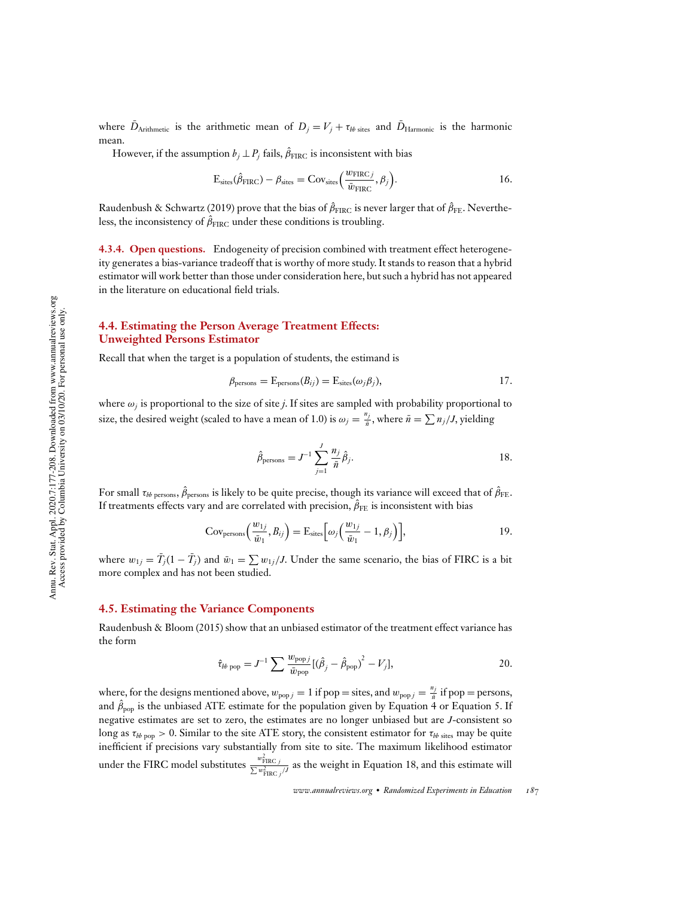where  $\bar{D}_{\text{Arithmetic}}$  is the arithmetic mean of  $D_j = V_j + \tau_{bb\text{ sites}}$  and  $\bar{D}_{\text{Harmonic}}$  is the harmonic mean.

However, if the assumption  $b_j \perp P_j$  fails,  $\hat{\beta}_{\text{FIRC}}$  is inconsistent with bias

$$
E_{\text{sites}}(\hat{\beta}_{\text{FIRC}}) - \beta_{\text{sites}} = \text{Cov}_{\text{sites}}\left(\frac{w_{\text{FIRC}}}{\bar{w}_{\text{FIRC}}}, \beta_j\right). \tag{16}
$$

Raudenbush & Schwartz (2019) prove that the bias of  $\hat{\beta}_{\rm FIRC}$  is never larger that of  $\hat{\beta}_{\rm FE}$ . Nevertheless, the inconsistency of  $\hat{\beta}_{\rm FIRC}$  under these conditions is troubling.

**4.3.4. Open questions.** Endogeneity of precision combined with treatment effect heterogeneity generates a bias-variance tradeoff that is worthy of more study. It stands to reason that a hybrid estimator will work better than those under consideration here, but such a hybrid has not appeared in the literature on educational field trials.

# **4.4. Estimating the Person Average Treatment Effects: Unweighted Persons Estimator**

Recall that when the target is a population of students, the estimand is

$$
\beta_{\text{persons}} = \mathcal{E}_{\text{persons}}(B_{ij}) = \mathcal{E}_{\text{sites}}(\omega_j \beta_j), \tag{17}
$$

where ω*<sup>j</sup>* is proportional to the size of site *j*. If sites are sampled with probability proportional to size, the desired weight (scaled to have a mean of 1.0) is  $\omega_j = \frac{n_j}{\bar{n}}$ , where  $\bar{n} = \sum n_j / J$ , yielding

$$
\hat{\beta}_{\text{persons}} = J^{-1} \sum_{j=1}^{J} \frac{n_j}{\bar{n}} \hat{\beta}_j.
$$

For small  $\tau_{bb~persons}, \hat{\beta}_{\rm persons}$  is likely to be quite precise, though its variance will exceed that of  $\hat{\beta}_{\rm FE}.$ If treatments effects vary and are correlated with precision,  $\hat{\beta}_{\text{FE}}$  is inconsistent with bias

$$
Cov_{\text{persons}}\left(\frac{w_{1j}}{\bar{w}_1}, B_{ij}\right) = \mathcal{E}_{\text{sites}}\left[\omega_j\left(\frac{w_{1j}}{\bar{w}_1} - 1, \beta_j\right)\right],\tag{19}
$$

where  $w_{1j} = \bar{T}_j(1 - \bar{T}_j)$  and  $\bar{w}_1 = \sum w_{1j}/J$ . Under the same scenario, the bias of FIRC is a bit more complex and has not been studied.

# **4.5. Estimating the Variance Components**

Raudenbush & Bloom (2015) show that an unbiased estimator of the treatment effect variance has the form

$$
\hat{\tau}_{bb\text{ pop}} = J^{-1} \sum \frac{w_{\text{pop}j}}{\bar{w}_{\text{pop}}} [(\hat{\beta}_j - \hat{\beta}_{\text{pop}})^2 - V_j],
$$

where, for the designs mentioned above,  $w_{popj} = 1$  if pop = sites, and  $w_{popj} = \frac{n_j}{n}$  if pop = persons, and  $\hat{\beta}_\mathrm{pop}$  is the unbiased ATE estimate for the population given by Equation 4 or Equation 5. If negative estimates are set to zero, the estimates are no longer unbiased but are *J*-consistent so long as  $\tau_{bb~pop} > 0$ . Similar to the site ATE story, the consistent estimator for  $\tau_{bb~sites}$  may be quite inefficient if precisions vary substantially from site to site. The maximum likelihood estimator under the FIRC model substitutes  $\frac{w_{\text{FIRC}}^2}{\sum w_{\text{FIRC}}^2 /J}$  as the weight in Equation 18, and this estimate will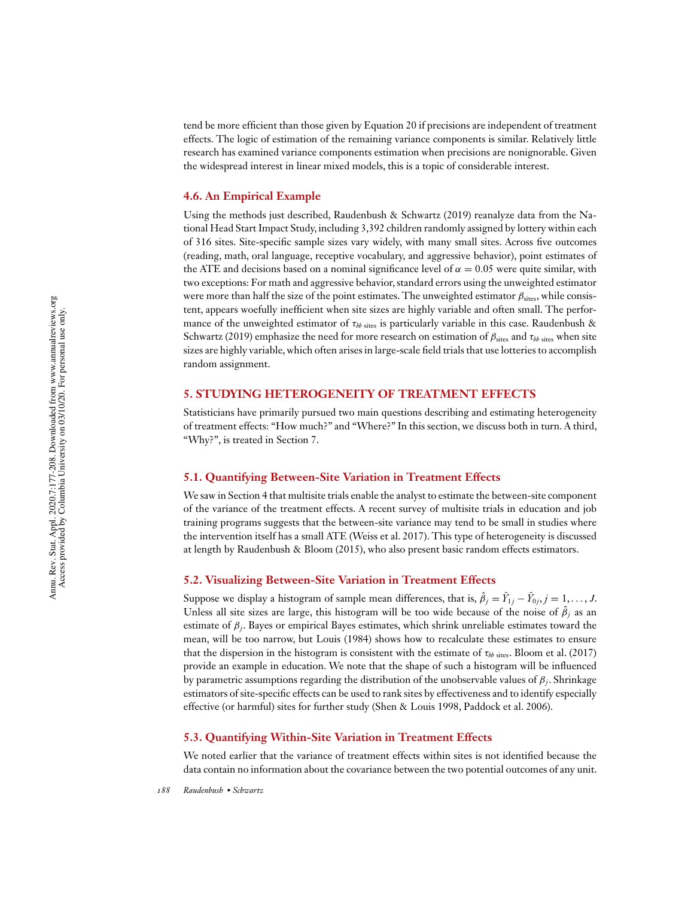tend be more efficient than those given by Equation 20 if precisions are independent of treatment effects. The logic of estimation of the remaining variance components is similar. Relatively little research has examined variance components estimation when precisions are nonignorable. Given the widespread interest in linear mixed models, this is a topic of considerable interest.

#### **4.6. An Empirical Example**

Using the methods just described, Raudenbush & Schwartz (2019) reanalyze data from the National Head Start Impact Study, including 3,392 children randomly assigned by lottery within each of 316 sites. Site-specific sample sizes vary widely, with many small sites. Across five outcomes (reading, math, oral language, receptive vocabulary, and aggressive behavior), point estimates of the ATE and decisions based on a nominal significance level of  $\alpha = 0.05$  were quite similar, with two exceptions: For math and aggressive behavior, standard errors using the unweighted estimator were more than half the size of the point estimates. The unweighted estimator  $\beta_{\text{sites}}$ , while consistent, appears woefully inefficient when site sizes are highly variable and often small. The performance of the unweighted estimator of  $\tau_{bb\ s{\rm t} {\rm s}}$  is particularly variable in this case. Raudenbush & Schwartz (2019) emphasize the need for more research on estimation of  $\beta_{\text{sites}}$  and  $\tau_{bb\text{ sites}}$  when site sizes are highly variable, which often arises in large-scale field trials that use lotteries to accomplish random assignment.

# **5. STUDYING HETEROGENEITY OF TREATMENT EFFECTS**

Statisticians have primarily pursued two main questions describing and estimating heterogeneity of treatment effects: "How much?" and "Where?" In this section, we discuss both in turn. A third, "Why?", is treated in Section 7.

#### **5.1. Quantifying Between-Site Variation in Treatment Effects**

We saw in Section 4 that multisite trials enable the analyst to estimate the between-site component of the variance of the treatment effects. A recent survey of multisite trials in education and job training programs suggests that the between-site variance may tend to be small in studies where the intervention itself has a small ATE (Weiss et al. 2017). This type of heterogeneity is discussed at length by Raudenbush & Bloom (2015), who also present basic random effects estimators.

#### **5.2. Visualizing Between-Site Variation in Treatment Effects**

Suppose we display a histogram of sample mean differences, that is,  $\hat{\beta}_j = \bar{Y}_{1j} - \bar{Y}_{0j}, j = 1, \ldots, J$ . Unless all site sizes are large, this histogram will be too wide because of the noise of  $\hat{\beta}_j$  as an estimate of β*<sup>j</sup>* . Bayes or empirical Bayes estimates, which shrink unreliable estimates toward the mean, will be too narrow, but Louis (1984) shows how to recalculate these estimates to ensure that the dispersion in the histogram is consistent with the estimate of  $\tau_{bb\text{ sites}}$ . Bloom et al. (2017) provide an example in education. We note that the shape of such a histogram will be influenced by parametric assumptions regarding the distribution of the unobservable values of β*<sup>j</sup>* . Shrinkage estimators of site-specific effects can be used to rank sites by effectiveness and to identify especially effective (or harmful) sites for further study (Shen & Louis 1998, Paddock et al. 2006).

# **5.3. Quantifying Within-Site Variation in Treatment Effects**

We noted earlier that the variance of treatment effects within sites is not identified because the data contain no information about the covariance between the two potential outcomes of any unit.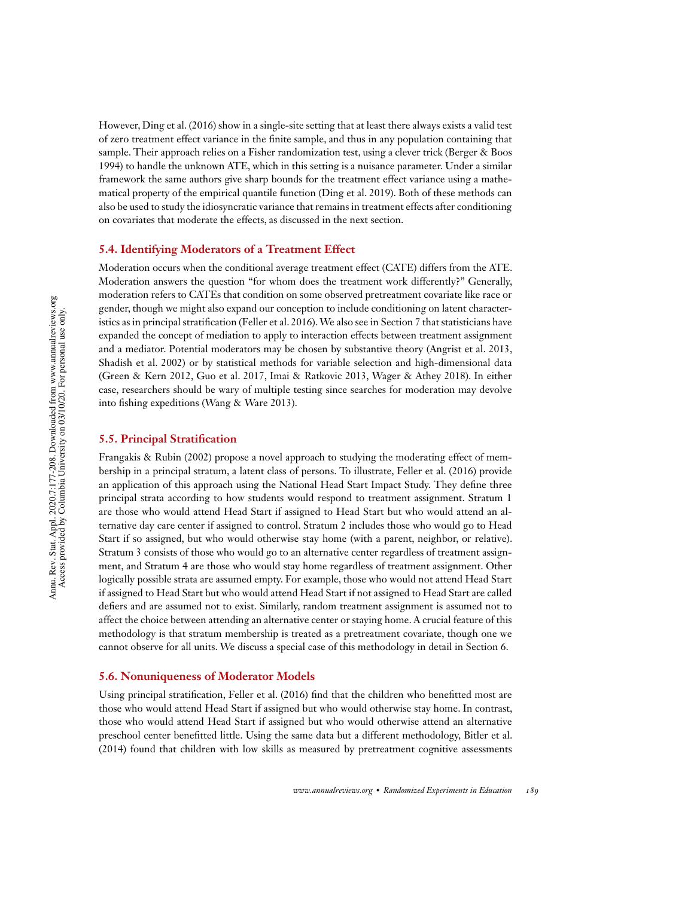However, Ding et al. (2016) show in a single-site setting that at least there always exists a valid test of zero treatment effect variance in the finite sample, and thus in any population containing that sample. Their approach relies on a Fisher randomization test, using a clever trick (Berger & Boos 1994) to handle the unknown ATE, which in this setting is a nuisance parameter. Under a similar framework the same authors give sharp bounds for the treatment effect variance using a mathematical property of the empirical quantile function (Ding et al. 2019). Both of these methods can also be used to study the idiosyncratic variance that remains in treatment effects after conditioning on covariates that moderate the effects, as discussed in the next section.

### **5.4. Identifying Moderators of a Treatment Effect**

Moderation occurs when the conditional average treatment effect (CATE) differs from the ATE. Moderation answers the question "for whom does the treatment work differently?" Generally, moderation refers to CATEs that condition on some observed pretreatment covariate like race or gender, though we might also expand our conception to include conditioning on latent characteristics as in principal stratification (Feller et al. 2016).We also see in Section 7 that statisticians have expanded the concept of mediation to apply to interaction effects between treatment assignment and a mediator. Potential moderators may be chosen by substantive theory (Angrist et al. 2013, Shadish et al. 2002) or by statistical methods for variable selection and high-dimensional data (Green & Kern 2012, Guo et al. 2017, Imai & Ratkovic 2013, Wager & Athey 2018). In either case, researchers should be wary of multiple testing since searches for moderation may devolve into fishing expeditions (Wang & Ware 2013).

# **5.5. Principal Stratification**

Frangakis & Rubin (2002) propose a novel approach to studying the moderating effect of membership in a principal stratum, a latent class of persons. To illustrate, Feller et al. (2016) provide an application of this approach using the National Head Start Impact Study. They define three principal strata according to how students would respond to treatment assignment. Stratum 1 are those who would attend Head Start if assigned to Head Start but who would attend an alternative day care center if assigned to control. Stratum 2 includes those who would go to Head Start if so assigned, but who would otherwise stay home (with a parent, neighbor, or relative). Stratum 3 consists of those who would go to an alternative center regardless of treatment assignment, and Stratum 4 are those who would stay home regardless of treatment assignment. Other logically possible strata are assumed empty. For example, those who would not attend Head Start if assigned to Head Start but who would attend Head Start if not assigned to Head Start are called defiers and are assumed not to exist. Similarly, random treatment assignment is assumed not to affect the choice between attending an alternative center or staying home. A crucial feature of this methodology is that stratum membership is treated as a pretreatment covariate, though one we cannot observe for all units. We discuss a special case of this methodology in detail in Section 6.

#### **5.6. Nonuniqueness of Moderator Models**

Using principal stratification, Feller et al. (2016) find that the children who benefitted most are those who would attend Head Start if assigned but who would otherwise stay home. In contrast, those who would attend Head Start if assigned but who would otherwise attend an alternative preschool center benefitted little. Using the same data but a different methodology, Bitler et al. (2014) found that children with low skills as measured by pretreatment cognitive assessments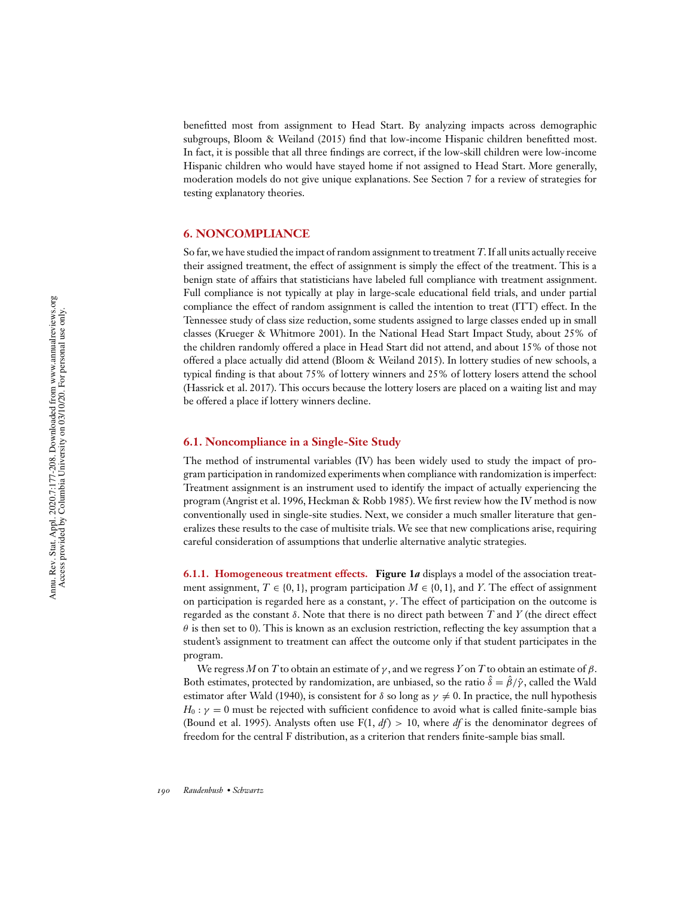benefitted most from assignment to Head Start. By analyzing impacts across demographic subgroups, Bloom & Weiland (2015) find that low-income Hispanic children benefitted most. In fact, it is possible that all three findings are correct, if the low-skill children were low-income Hispanic children who would have stayed home if not assigned to Head Start. More generally, moderation models do not give unique explanations. See Section 7 for a review of strategies for testing explanatory theories.

#### **6. NONCOMPLIANCE**

So far, we have studied the impact of random assignment to treatment *T*. If all units actually receive their assigned treatment, the effect of assignment is simply the effect of the treatment. This is a benign state of affairs that statisticians have labeled full compliance with treatment assignment. Full compliance is not typically at play in large-scale educational field trials, and under partial compliance the effect of random assignment is called the intention to treat (ITT) effect. In the Tennessee study of class size reduction, some students assigned to large classes ended up in small classes (Krueger & Whitmore 2001). In the National Head Start Impact Study, about 25% of the children randomly offered a place in Head Start did not attend, and about 15% of those not offered a place actually did attend (Bloom & Weiland 2015). In lottery studies of new schools, a typical finding is that about 75% of lottery winners and 25% of lottery losers attend the school (Hassrick et al. 2017). This occurs because the lottery losers are placed on a waiting list and may be offered a place if lottery winners decline.

# **6.1. Noncompliance in a Single-Site Study**

The method of instrumental variables (IV) has been widely used to study the impact of program participation in randomized experiments when compliance with randomization is imperfect: Treatment assignment is an instrument used to identify the impact of actually experiencing the program (Angrist et al. 1996, Heckman & Robb 1985). We first review how the IV method is now conventionally used in single-site studies. Next, we consider a much smaller literature that generalizes these results to the case of multisite trials. We see that new complications arise, requiring careful consideration of assumptions that underlie alternative analytic strategies.

**6.1.1. Homogeneous treatment effects. Figure 1***a* displays a model of the association treatment assignment,  $T \in \{0, 1\}$ , program participation  $M \in \{0, 1\}$ , and *Y*. The effect of assignment on participation is regarded here as a constant,  $\gamma$ . The effect of participation on the outcome is regarded as the constant δ. Note that there is no direct path between *T* and *Y* (the direct effect  $\theta$  is then set to 0). This is known as an exclusion restriction, reflecting the key assumption that a student's assignment to treatment can affect the outcome only if that student participates in the program.

We regress *M* on *T* to obtain an estimate of  $\gamma$ , and we regress *Y* on *T* to obtain an estimate of  $\beta$ . Both estimates, protected by randomization, are unbiased, so the ratio  $\hat{\delta} = \hat{\beta}/\hat{\gamma}$ , called the Wald estimator after Wald (1940), is consistent for  $\delta$  so long as  $\gamma \neq 0$ . In practice, the null hypothesis  $H_0: \gamma = 0$  must be rejected with sufficient confidence to avoid what is called finite-sample bias (Bound et al. 1995). Analysts often use  $F(1, df) > 10$ , where *df* is the denominator degrees of freedom for the central F distribution, as a criterion that renders finite-sample bias small.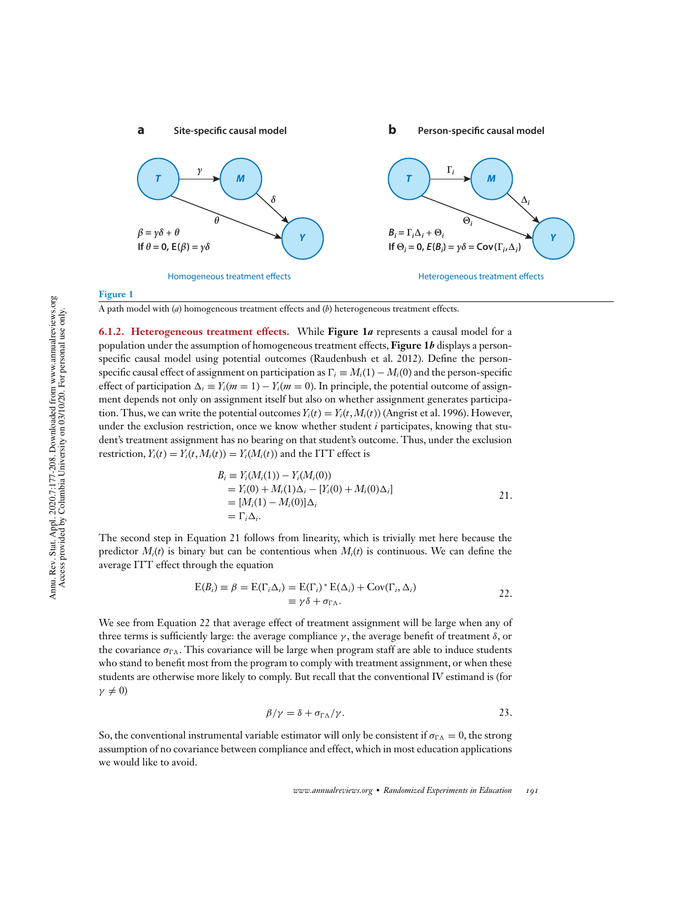

#### **Figure 1**

A path model with (*a*) homogeneous treatment effects and (*b*) heterogeneous treatment effects.

**6.1.2. Heterogeneous treatment effects.** While **Figure 1***a* represents a causal model for a population under the assumption of homogeneous treatment effects, **Figure 1***b* displays a personspecific causal model using potential outcomes (Raudenbush et al. 2012). Define the personspecific causal effect of assignment on participation as  $\Gamma_i \equiv M_i(1) - M_i(0)$  and the person-specific effect of participation  $\Delta_i \equiv Y_i(m=1) - Y_i(m=0)$ . In principle, the potential outcome of assignment depends not only on assignment itself but also on whether assignment generates participation. Thus, we can write the potential outcomes  $Y_i(t) = Y_i(t, M_i(t))$  (Angrist et al. 1996). However, under the exclusion restriction, once we know whether student *i* participates, knowing that student's treatment assignment has no bearing on that student's outcome. Thus, under the exclusion restriction,  $Y_i(t) = Y_i(t, M_i(t)) = Y_i(M_i(t))$  and the ITT effect is

$$
B_i \equiv Y_i(M_i(1)) - Y_i(M_i(0))
$$
  
=  $Y_i(0) + M_i(1)\Delta_i - [Y_i(0) + M_i(0)\Delta_i]$   
=  $[M_i(1) - M_i(0)]\Delta_i$   
=  $\Gamma_i \Delta_i$ .

The second step in Equation 21 follows from linearity, which is trivially met here because the predictor  $M_i(t)$  is binary but can be contentious when  $M_i(t)$  is continuous. We can define the average ITT effect through the equation

$$
E(B_i) \equiv \beta = E(\Gamma_i \Delta_i) = E(\Gamma_i)^* E(\Delta_i) + Cov(\Gamma_i, \Delta_i)
$$
  

$$
\equiv \gamma \delta + \sigma_{\Gamma \Lambda}.
$$

We see from Equation 22 that average effect of treatment assignment will be large when any of three terms is sufficiently large: the average compliance  $\gamma$ , the average benefit of treatment  $\delta$ , or the covariance  $\sigma_{\Gamma \Lambda}$ . This covariance will be large when program staff are able to induce students who stand to benefit most from the program to comply with treatment assignment, or when these students are otherwise more likely to comply. But recall that the conventional IV estimand is (for  $\gamma \neq 0$ 

$$
\beta/\gamma = \delta + \sigma_{\Gamma\Lambda}/\gamma.
$$
 23.

So, the conventional instrumental variable estimator will only be consistent if  $\sigma_{\Gamma}$  = 0, the strong assumption of no covariance between compliance and effect, which in most education applications we would like to avoid.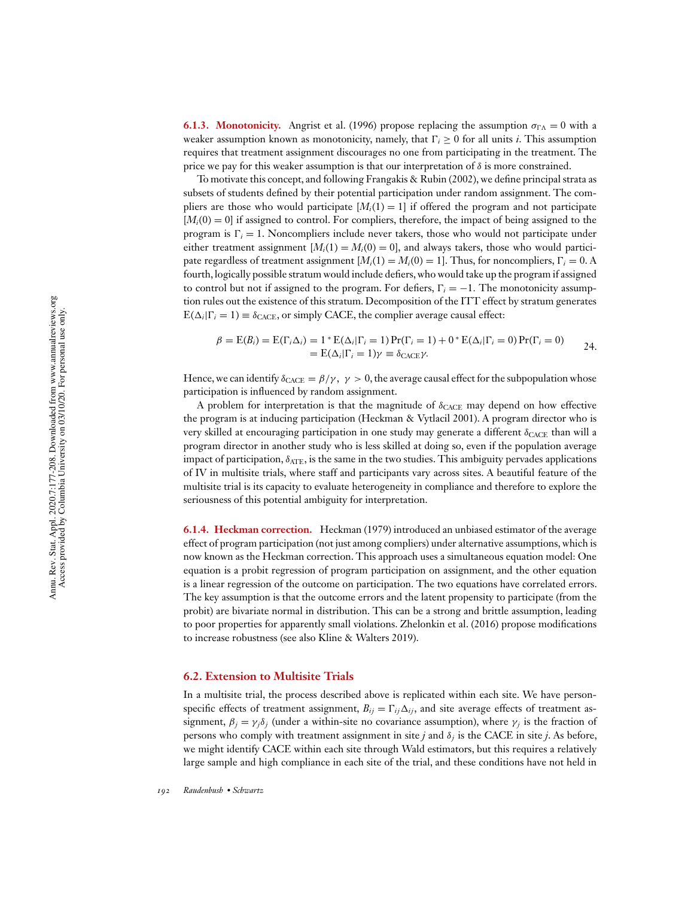**6.1.3. Monotonicity.** Angrist et al. (1996) propose replacing the assumption  $\sigma_{\Gamma \Lambda} = 0$  with a weaker assumption known as monotonicity, namely, that  $\Gamma_i \geq 0$  for all units *i*. This assumption requires that treatment assignment discourages no one from participating in the treatment. The price we pay for this weaker assumption is that our interpretation of  $\delta$  is more constrained.

To motivate this concept, and following Frangakis & Rubin (2002), we define principal strata as subsets of students defined by their potential participation under random assignment. The compliers are those who would participate  $[M_i(1) = 1]$  if offered the program and not participate  $[M_i(0) = 0]$  if assigned to control. For compliers, therefore, the impact of being assigned to the program is  $\Gamma_i = 1$ . Noncompliers include never takers, those who would not participate under either treatment assignment  $[M_i(1) = M_i(0) = 0]$ , and always takers, those who would participate regardless of treatment assignment  $[M_i(1) = M_i(0) = 1]$ . Thus, for noncompliers,  $\Gamma_i = 0$ . A fourth, logically possible stratum would include defiers, who would take up the program if assigned to control but not if assigned to the program. For defiers,  $\Gamma_i = -1$ . The monotonicity assumption rules out the existence of this stratum. Decomposition of the ITT effect by stratum generates  $E(\Delta_i|\Gamma_i=1) \equiv \delta_{\text{CACE}}$ , or simply CACE, the complier average causal effect:

$$
\beta = \mathcal{E}(B_i) = \mathcal{E}(\Gamma_i \Delta_i) = 1 * \mathcal{E}(\Delta_i | \Gamma_i = 1) \Pr(\Gamma_i = 1) + 0 * \mathcal{E}(\Delta_i | \Gamma_i = 0) \Pr(\Gamma_i = 0)
$$
  
= 
$$
\mathcal{E}(\Delta_i | \Gamma_i = 1) \gamma \equiv \delta_{\text{CACE}} \gamma.
$$

Hence, we can identify  $\delta_{CACE} = \beta/\gamma$ ,  $\gamma > 0$ , the average causal effect for the subpopulation whose participation is influenced by random assignment.

A problem for interpretation is that the magnitude of  $\delta_{CACE}$  may depend on how effective the program is at inducing participation (Heckman & Vytlacil 2001). A program director who is very skilled at encouraging participation in one study may generate a different  $\delta_{\text{CACE}}$  than will a program director in another study who is less skilled at doing so, even if the population average impact of participation,  $\delta_{ATE}$ , is the same in the two studies. This ambiguity pervades applications of IV in multisite trials, where staff and participants vary across sites. A beautiful feature of the multisite trial is its capacity to evaluate heterogeneity in compliance and therefore to explore the seriousness of this potential ambiguity for interpretation.

**6.1.4. Heckman correction.** Heckman (1979) introduced an unbiased estimator of the average effect of program participation (not just among compliers) under alternative assumptions, which is now known as the Heckman correction. This approach uses a simultaneous equation model: One equation is a probit regression of program participation on assignment, and the other equation is a linear regression of the outcome on participation. The two equations have correlated errors. The key assumption is that the outcome errors and the latent propensity to participate (from the probit) are bivariate normal in distribution. This can be a strong and brittle assumption, leading to poor properties for apparently small violations. Zhelonkin et al. (2016) propose modifications to increase robustness (see also Kline & Walters 2019).

#### **6.2. Extension to Multisite Trials**

In a multisite trial, the process described above is replicated within each site. We have personspecific effects of treatment assignment,  $B_{ij} = \Gamma_{ij} \Delta_{ij}$ , and site average effects of treatment assignment,  $\beta_j = \gamma_j \delta_j$  (under a within-site no covariance assumption), where  $\gamma_j$  is the fraction of persons who comply with treatment assignment in site *j* and δ*<sup>j</sup>* is the CACE in site *j*. As before, we might identify CACE within each site through Wald estimators, but this requires a relatively large sample and high compliance in each site of the trial, and these conditions have not held in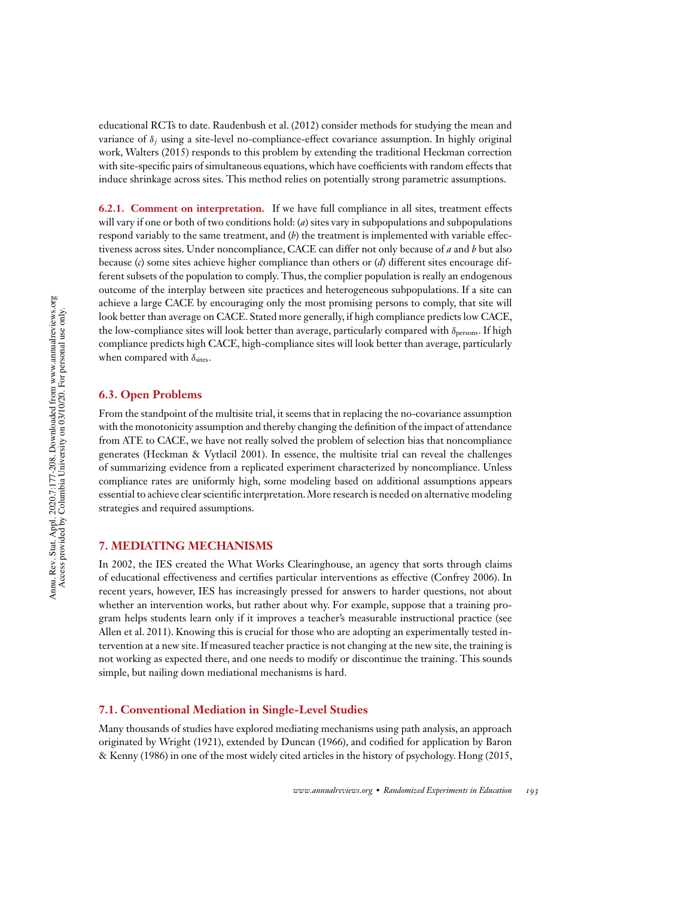educational RCTs to date. Raudenbush et al. (2012) consider methods for studying the mean and variance of δ*<sup>j</sup>* using a site-level no-compliance-effect covariance assumption. In highly original work, Walters (2015) responds to this problem by extending the traditional Heckman correction with site-specific pairs of simultaneous equations, which have coefficients with random effects that induce shrinkage across sites. This method relies on potentially strong parametric assumptions.

**6.2.1. Comment on interpretation.** If we have full compliance in all sites, treatment effects will vary if one or both of two conditions hold: (*a*) sites vary in subpopulations and subpopulations respond variably to the same treatment, and (*b*) the treatment is implemented with variable effectiveness across sites. Under noncompliance, CACE can differ not only because of *a* and *b* but also because (*c*) some sites achieve higher compliance than others or (*d*) different sites encourage different subsets of the population to comply. Thus, the complier population is really an endogenous outcome of the interplay between site practices and heterogeneous subpopulations. If a site can achieve a large CACE by encouraging only the most promising persons to comply, that site will look better than average on CACE. Stated more generally, if high compliance predicts low CACE, the low-compliance sites will look better than average, particularly compared with  $\delta_{\text{persons}}$ . If high compliance predicts high CACE, high-compliance sites will look better than average, particularly when compared with  $\delta_{\text{sites}}$ .

#### **6.3. Open Problems**

From the standpoint of the multisite trial, it seems that in replacing the no-covariance assumption with the monotonicity assumption and thereby changing the definition of the impact of attendance from ATE to CACE, we have not really solved the problem of selection bias that noncompliance generates (Heckman & Vytlacil 2001). In essence, the multisite trial can reveal the challenges of summarizing evidence from a replicated experiment characterized by noncompliance. Unless compliance rates are uniformly high, some modeling based on additional assumptions appears essential to achieve clear scientific interpretation.More research is needed on alternative modeling strategies and required assumptions.

#### **7. MEDIATING MECHANISMS**

In 2002, the IES created the What Works Clearinghouse, an agency that sorts through claims of educational effectiveness and certifies particular interventions as effective (Confrey 2006). In recent years, however, IES has increasingly pressed for answers to harder questions, not about whether an intervention works, but rather about why. For example, suppose that a training program helps students learn only if it improves a teacher's measurable instructional practice (see Allen et al. 2011). Knowing this is crucial for those who are adopting an experimentally tested intervention at a new site. If measured teacher practice is not changing at the new site, the training is not working as expected there, and one needs to modify or discontinue the training. This sounds simple, but nailing down mediational mechanisms is hard.

#### **7.1. Conventional Mediation in Single-Level Studies**

Many thousands of studies have explored mediating mechanisms using path analysis, an approach originated by Wright (1921), extended by Duncan (1966), and codified for application by Baron & Kenny (1986) in one of the most widely cited articles in the history of psychology. Hong (2015,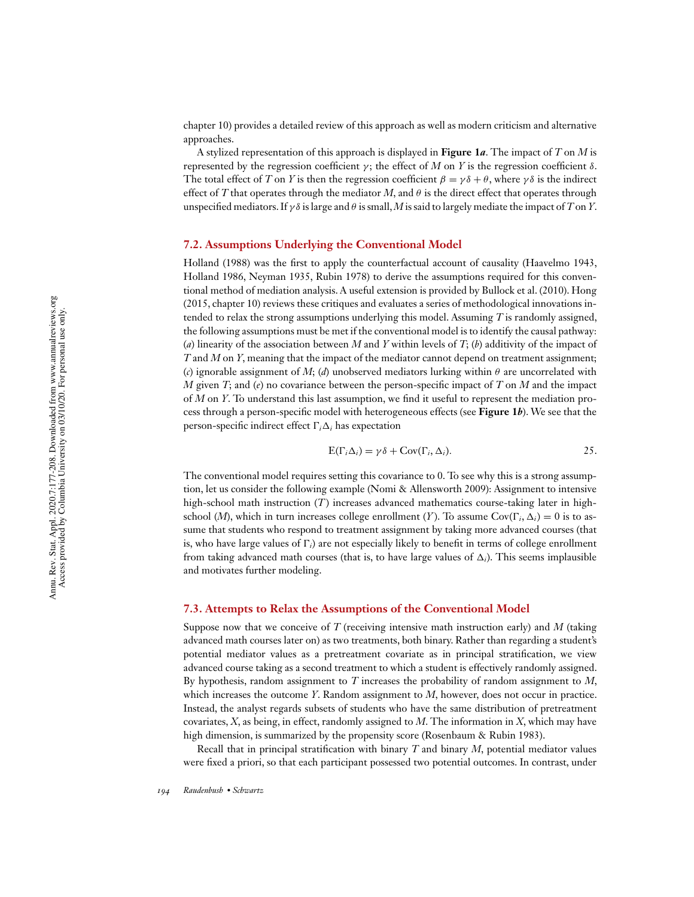chapter 10) provides a detailed review of this approach as well as modern criticism and alternative approaches.

A stylized representation of this approach is displayed in **Figure 1***a*. The impact of *T* on *M* is represented by the regression coefficient γ; the effect of *M* on *Y* is the regression coefficient δ. The total effect of *T* on *Y* is then the regression coefficient  $\beta = \gamma \delta + \theta$ , where  $\gamma \delta$  is the indirect effect of *T* that operates through the mediator *M*, and  $\theta$  is the direct effect that operates through unspecified mediators. If  $\gamma \delta$  is large and  $\theta$  is small, *M* is said to largely mediate the impact of *T* on *Y*.

#### **7.2. Assumptions Underlying the Conventional Model**

Holland (1988) was the first to apply the counterfactual account of causality (Haavelmo 1943, Holland 1986, Neyman 1935, Rubin 1978) to derive the assumptions required for this conventional method of mediation analysis. A useful extension is provided by Bullock et al. (2010). Hong (2015, chapter 10) reviews these critiques and evaluates a series of methodological innovations intended to relax the strong assumptions underlying this model. Assuming *T* is randomly assigned, the following assumptions must be met if the conventional model is to identify the causal pathway: (*a*) linearity of the association between *M* and *Y* within levels of *T*; (*b*) additivity of the impact of *T* and *M* on *Y*, meaning that the impact of the mediator cannot depend on treatment assignment; (*c*) ignorable assignment of *M*; (*d*) unobserved mediators lurking within  $\theta$  are uncorrelated with *M* given *T*; and (*e*) no covariance between the person-specific impact of *T* on *M* and the impact of *M* on *Y*. To understand this last assumption, we find it useful to represent the mediation process through a person-specific model with heterogeneous effects (see **Figure 1***b*). We see that the person-specific indirect effect  $\Gamma_i \Delta_i$  has expectation

$$
E(\Gamma_i \Delta_i) = \gamma \delta + Cov(\Gamma_i, \Delta_i). \tag{25}
$$

The conventional model requires setting this covariance to 0. To see why this is a strong assumption, let us consider the following example (Nomi & Allensworth 2009): Assignment to intensive high-school math instruction (*T*) increases advanced mathematics course-taking later in highschool (*M*), which in turn increases college enrollment (*Y*). To assume  $Cov(\Gamma_i, \Delta_i) = 0$  is to assume that students who respond to treatment assignment by taking more advanced courses (that is, who have large values of  $\Gamma_i$ ) are not especially likely to benefit in terms of college enrollment from taking advanced math courses (that is, to have large values of  $\Delta_i$ ). This seems implausible and motivates further modeling.

#### **7.3. Attempts to Relax the Assumptions of the Conventional Model**

Suppose now that we conceive of *T* (receiving intensive math instruction early) and *M* (taking advanced math courses later on) as two treatments, both binary. Rather than regarding a student's potential mediator values as a pretreatment covariate as in principal stratification, we view advanced course taking as a second treatment to which a student is effectively randomly assigned. By hypothesis, random assignment to *T* increases the probability of random assignment to *M*, which increases the outcome *Y*. Random assignment to *M*, however, does not occur in practice. Instead, the analyst regards subsets of students who have the same distribution of pretreatment covariates, *X*, as being, in effect, randomly assigned to *M*. The information in *X*, which may have high dimension, is summarized by the propensity score (Rosenbaum & Rubin 1983).

Recall that in principal stratification with binary *T* and binary *M*, potential mediator values were fixed a priori, so that each participant possessed two potential outcomes. In contrast, under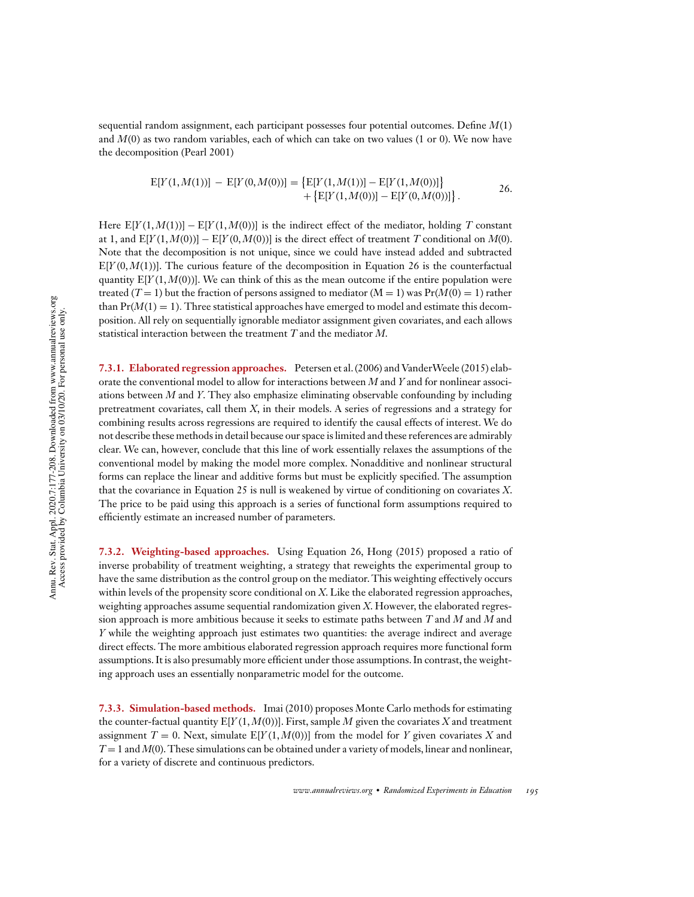sequential random assignment, each participant possesses four potential outcomes. Define *M*(1) and *M*(0) as two random variables, each of which can take on two values (1 or 0). We now have the decomposition (Pearl 2001)

$$
E[Y(1, M(1))] - E[Y(0, M(0))] = \{E[Y(1, M(1))] - E[Y(1, M(0))] \} + \{E[Y(1, M(0))] - E[Y(0, M(0))] \}.
$$
 26.

Here  $E[Y(1, M(1))] - E[Y(1, M(0))]$  is the indirect effect of the mediator, holding *T* constant at 1, and  $E[Y(1, M(0))] - E[Y(0, M(0))]$  is the direct effect of treatment *T* conditional on  $M(0)$ . Note that the decomposition is not unique, since we could have instead added and subtracted  $E[Y(0, M(1))]$ . The curious feature of the decomposition in Equation 26 is the counterfactual quantity  $E[Y(1, M(0))]$ . We can think of this as the mean outcome if the entire population were treated  $(T = 1)$  but the fraction of persons assigned to mediator  $(M = 1)$  was  $Pr(M(0) = 1)$  rather than  $Pr(M(1) = 1)$ . Three statistical approaches have emerged to model and estimate this decomposition. All rely on sequentially ignorable mediator assignment given covariates, and each allows statistical interaction between the treatment *T* and the mediator *M*.

**7.3.1. Elaborated regression approaches.** Petersen et al. (2006) and VanderWeele (2015) elaborate the conventional model to allow for interactions between *M* and *Y* and for nonlinear associations between *M* and *Y*. They also emphasize eliminating observable confounding by including pretreatment covariates, call them *X*, in their models. A series of regressions and a strategy for combining results across regressions are required to identify the causal effects of interest. We do not describe these methods in detail because our space is limited and these references are admirably clear. We can, however, conclude that this line of work essentially relaxes the assumptions of the conventional model by making the model more complex. Nonadditive and nonlinear structural forms can replace the linear and additive forms but must be explicitly specified. The assumption that the covariance in Equation 25 is null is weakened by virtue of conditioning on covariates *X*. The price to be paid using this approach is a series of functional form assumptions required to efficiently estimate an increased number of parameters.

**7.3.2. Weighting-based approaches.** Using Equation 26, Hong (2015) proposed a ratio of inverse probability of treatment weighting, a strategy that reweights the experimental group to have the same distribution as the control group on the mediator. This weighting effectively occurs within levels of the propensity score conditional on *X*. Like the elaborated regression approaches, weighting approaches assume sequential randomization given *X*. However, the elaborated regression approach is more ambitious because it seeks to estimate paths between *T* and *M* and *M* and *Y* while the weighting approach just estimates two quantities: the average indirect and average direct effects. The more ambitious elaborated regression approach requires more functional form assumptions. It is also presumably more efficient under those assumptions. In contrast, the weighting approach uses an essentially nonparametric model for the outcome.

**7.3.3. Simulation-based methods.** Imai (2010) proposes Monte Carlo methods for estimating the counter-factual quantity  $E[Y(1, M(0))]$ . First, sample *M* given the covariates *X* and treatment assignment  $T = 0$ . Next, simulate  $E[Y(1, M(0))]$  from the model for *Y* given covariates *X* and *T* = 1 and *M*(0). These simulations can be obtained under a variety of models, linear and nonlinear, for a variety of discrete and continuous predictors.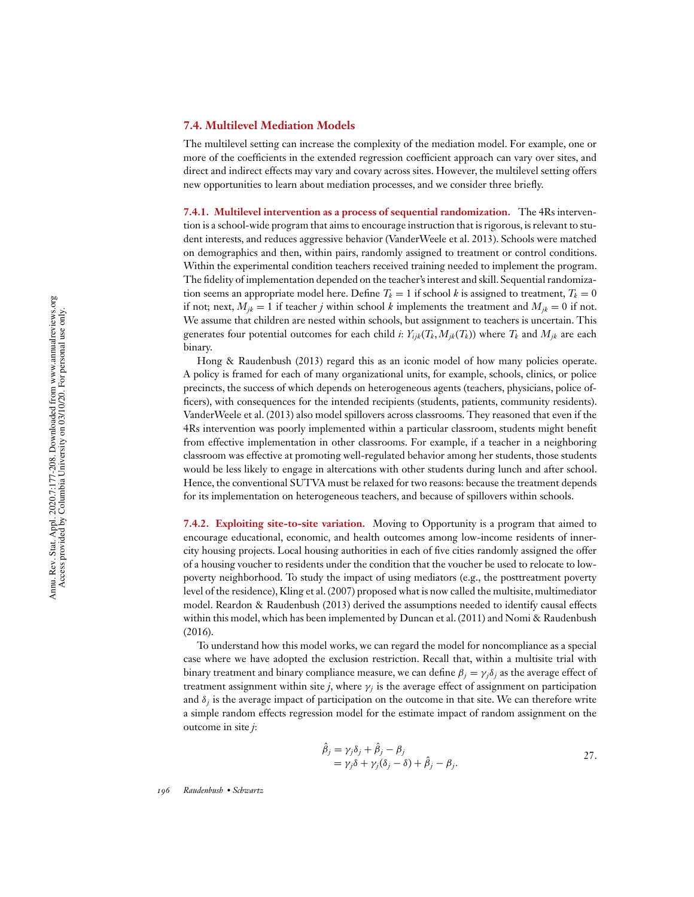### **7.4. Multilevel Mediation Models**

The multilevel setting can increase the complexity of the mediation model. For example, one or more of the coefficients in the extended regression coefficient approach can vary over sites, and direct and indirect effects may vary and covary across sites. However, the multilevel setting offers new opportunities to learn about mediation processes, and we consider three briefly.

**7.4.1. Multilevel intervention as a process of sequential randomization.** The 4Rs intervention is a school-wide program that aims to encourage instruction that is rigorous, is relevant to student interests, and reduces aggressive behavior (VanderWeele et al. 2013). Schools were matched on demographics and then, within pairs, randomly assigned to treatment or control conditions. Within the experimental condition teachers received training needed to implement the program. The fidelity of implementation depended on the teacher's interest and skill. Sequential randomization seems an appropriate model here. Define  $T_k = 1$  if school *k* is assigned to treatment,  $T_k = 0$ if not; next,  $M_{ik} = 1$  if teacher *j* within school *k* implements the treatment and  $M_{ik} = 0$  if not. We assume that children are nested within schools, but assignment to teachers is uncertain. This generates four potential outcomes for each child *i*:  $Y_{ijk}(T_k, M_{jk}(T_k))$  where  $T_k$  and  $M_{jk}$  are each binary.

Hong & Raudenbush (2013) regard this as an iconic model of how many policies operate. A policy is framed for each of many organizational units, for example, schools, clinics, or police precincts, the success of which depends on heterogeneous agents (teachers, physicians, police officers), with consequences for the intended recipients (students, patients, community residents). VanderWeele et al. (2013) also model spillovers across classrooms. They reasoned that even if the 4Rs intervention was poorly implemented within a particular classroom, students might benefit from effective implementation in other classrooms. For example, if a teacher in a neighboring classroom was effective at promoting well-regulated behavior among her students, those students would be less likely to engage in altercations with other students during lunch and after school. Hence, the conventional SUTVA must be relaxed for two reasons: because the treatment depends for its implementation on heterogeneous teachers, and because of spillovers within schools.

**7.4.2. Exploiting site-to-site variation.** Moving to Opportunity is a program that aimed to encourage educational, economic, and health outcomes among low-income residents of innercity housing projects. Local housing authorities in each of five cities randomly assigned the offer of a housing voucher to residents under the condition that the voucher be used to relocate to lowpoverty neighborhood. To study the impact of using mediators (e.g., the posttreatment poverty level of the residence), Kling et al. (2007) proposed what is now called the multisite, multimediator model. Reardon & Raudenbush (2013) derived the assumptions needed to identify causal effects within this model, which has been implemented by Duncan et al. (2011) and Nomi & Raudenbush (2016).

To understand how this model works, we can regard the model for noncompliance as a special case where we have adopted the exclusion restriction. Recall that, within a multisite trial with binary treatment and binary compliance measure, we can define  $\beta_j = \gamma_j \delta_j$  as the average effect of treatment assignment within site *j*, where  $\gamma_j$  is the average effect of assignment on participation and  $\delta_j$  is the average impact of participation on the outcome in that site. We can therefore write a simple random effects regression model for the estimate impact of random assignment on the outcome in site *j*:

$$
\begin{aligned}\n\hat{\beta}_j &= \gamma_j \delta_j + \hat{\beta}_j - \beta_j \\
&= \gamma_j \delta + \gamma_j (\delta_j - \delta) + \hat{\beta}_j - \beta_j.\n\end{aligned}
$$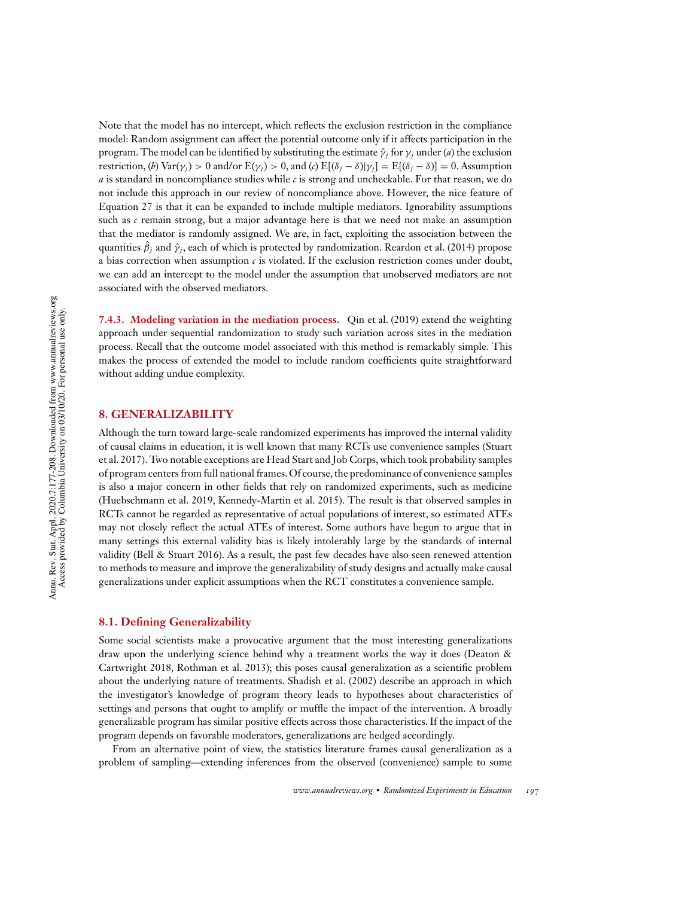Note that the model has no intercept, which reflects the exclusion restriction in the compliance model: Random assignment can affect the potential outcome only if it affects participation in the program. The model can be identified by substituting the estimate  $\hat{\gamma}_i$  for  $\gamma_i$  under (*a*) the exclusion restriction, (*b*) Var( $\gamma$ *j*) > 0 and/or E( $\gamma$ *j*) > 0, and (*c*) E[( $\delta$ *j* −  $\delta$ )| $\gamma$ *j*] = E[( $\delta$ *j* −  $\delta$ )] = 0. Assumption *a* is standard in noncompliance studies while *c* is strong and uncheckable. For that reason, we do not include this approach in our review of noncompliance above. However, the nice feature of Equation 27 is that it can be expanded to include multiple mediators. Ignorability assumptions such as *c* remain strong, but a major advantage here is that we need not make an assumption that the mediator is randomly assigned. We are, in fact, exploiting the association between the quantities  $\hat{\beta}_j$  and  $\hat{\gamma}_j$ , each of which is protected by randomization. Reardon et al. (2014) propose a bias correction when assumption  $c$  is violated. If the exclusion restriction comes under doubt, we can add an intercept to the model under the assumption that unobserved mediators are not associated with the observed mediators.

**7.4.3. Modeling variation in the mediation process.** Qin et al. (2019) extend the weighting approach under sequential randomization to study such variation across sites in the mediation process. Recall that the outcome model associated with this method is remarkably simple. This makes the process of extended the model to include random coefficients quite straightforward without adding undue complexity.

#### **8. GENERALIZABILITY**

Although the turn toward large-scale randomized experiments has improved the internal validity of causal claims in education, it is well known that many RCTs use convenience samples (Stuart et al. 2017). Two notable exceptions are Head Start and Job Corps, which took probability samples of program centers from full national frames. Of course, the predominance of convenience samples is also a major concern in other fields that rely on randomized experiments, such as medicine (Huebschmann et al. 2019, Kennedy-Martin et al. 2015). The result is that observed samples in RCTs cannot be regarded as representative of actual populations of interest, so estimated ATEs may not closely reflect the actual ATEs of interest. Some authors have begun to argue that in many settings this external validity bias is likely intolerably large by the standards of internal validity (Bell & Stuart 2016). As a result, the past few decades have also seen renewed attention to methods to measure and improve the generalizability of study designs and actually make causal generalizations under explicit assumptions when the RCT constitutes a convenience sample.

#### **8.1. Defining Generalizability**

Some social scientists make a provocative argument that the most interesting generalizations draw upon the underlying science behind why a treatment works the way it does (Deaton & Cartwright 2018, Rothman et al. 2013); this poses causal generalization as a scientific problem about the underlying nature of treatments. Shadish et al. (2002) describe an approach in which the investigator's knowledge of program theory leads to hypotheses about characteristics of settings and persons that ought to amplify or muffle the impact of the intervention. A broadly generalizable program has similar positive effects across those characteristics. If the impact of the program depends on favorable moderators, generalizations are hedged accordingly.

From an alternative point of view, the statistics literature frames causal generalization as a problem of sampling—extending inferences from the observed (convenience) sample to some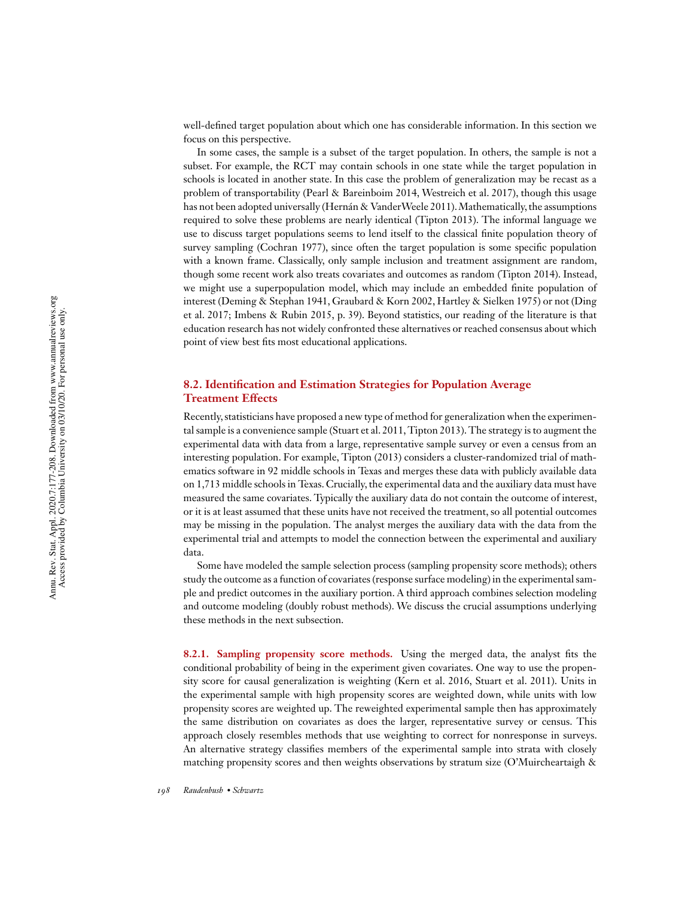well-defined target population about which one has considerable information. In this section we focus on this perspective.

In some cases, the sample is a subset of the target population. In others, the sample is not a subset. For example, the RCT may contain schools in one state while the target population in schools is located in another state. In this case the problem of generalization may be recast as a problem of transportability (Pearl & Bareinboim 2014, Westreich et al. 2017), though this usage has not been adopted universally (Hernán & VanderWeele 2011). Mathematically, the assumptions required to solve these problems are nearly identical (Tipton 2013). The informal language we use to discuss target populations seems to lend itself to the classical finite population theory of survey sampling (Cochran 1977), since often the target population is some specific population with a known frame. Classically, only sample inclusion and treatment assignment are random, though some recent work also treats covariates and outcomes as random (Tipton 2014). Instead, we might use a superpopulation model, which may include an embedded finite population of interest (Deming & Stephan 1941, Graubard & Korn 2002, Hartley & Sielken 1975) or not (Ding et al. 2017; Imbens & Rubin 2015, p. 39). Beyond statistics, our reading of the literature is that education research has not widely confronted these alternatives or reached consensus about which point of view best fits most educational applications.

# **8.2. Identification and Estimation Strategies for Population Average Treatment Effects**

Recently, statisticians have proposed a new type of method for generalization when the experimental sample is a convenience sample (Stuart et al. 2011, Tipton 2013). The strategy is to augment the experimental data with data from a large, representative sample survey or even a census from an interesting population. For example, Tipton (2013) considers a cluster-randomized trial of mathematics software in 92 middle schools in Texas and merges these data with publicly available data on 1,713 middle schools in Texas. Crucially, the experimental data and the auxiliary data must have measured the same covariates. Typically the auxiliary data do not contain the outcome of interest, or it is at least assumed that these units have not received the treatment, so all potential outcomes may be missing in the population. The analyst merges the auxiliary data with the data from the experimental trial and attempts to model the connection between the experimental and auxiliary data.

Some have modeled the sample selection process (sampling propensity score methods); others study the outcome as a function of covariates (response surface modeling) in the experimental sample and predict outcomes in the auxiliary portion. A third approach combines selection modeling and outcome modeling (doubly robust methods). We discuss the crucial assumptions underlying these methods in the next subsection.

**8.2.1. Sampling propensity score methods.** Using the merged data, the analyst fits the conditional probability of being in the experiment given covariates. One way to use the propensity score for causal generalization is weighting (Kern et al. 2016, Stuart et al. 2011). Units in the experimental sample with high propensity scores are weighted down, while units with low propensity scores are weighted up. The reweighted experimental sample then has approximately the same distribution on covariates as does the larger, representative survey or census. This approach closely resembles methods that use weighting to correct for nonresponse in surveys. An alternative strategy classifies members of the experimental sample into strata with closely matching propensity scores and then weights observations by stratum size (O'Muircheartaigh &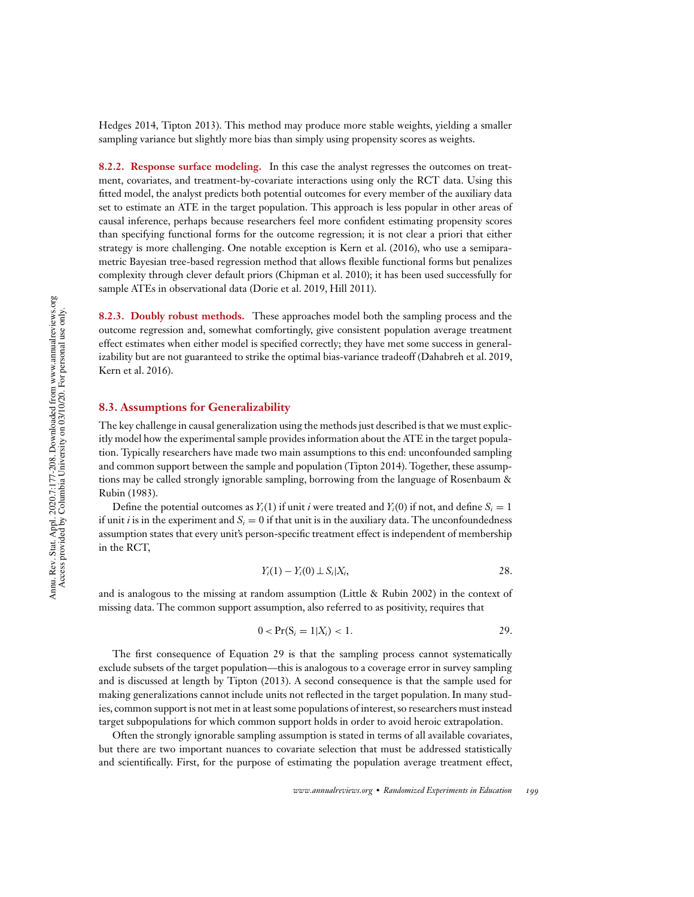Hedges 2014, Tipton 2013). This method may produce more stable weights, yielding a smaller sampling variance but slightly more bias than simply using propensity scores as weights.

**8.2.2. Response surface modeling.** In this case the analyst regresses the outcomes on treatment, covariates, and treatment-by-covariate interactions using only the RCT data. Using this fitted model, the analyst predicts both potential outcomes for every member of the auxiliary data set to estimate an ATE in the target population. This approach is less popular in other areas of causal inference, perhaps because researchers feel more confident estimating propensity scores than specifying functional forms for the outcome regression; it is not clear a priori that either strategy is more challenging. One notable exception is Kern et al. (2016), who use a semiparametric Bayesian tree-based regression method that allows flexible functional forms but penalizes complexity through clever default priors (Chipman et al. 2010); it has been used successfully for sample ATEs in observational data (Dorie et al. 2019, Hill 2011).

**8.2.3. Doubly robust methods.** These approaches model both the sampling process and the outcome regression and, somewhat comfortingly, give consistent population average treatment effect estimates when either model is specified correctly; they have met some success in generalizability but are not guaranteed to strike the optimal bias-variance tradeoff (Dahabreh et al. 2019, Kern et al. 2016).

# **8.3. Assumptions for Generalizability**

The key challenge in causal generalization using the methods just described is that we must explicitly model how the experimental sample provides information about the ATE in the target population. Typically researchers have made two main assumptions to this end: unconfounded sampling and common support between the sample and population (Tipton 2014). Together, these assumptions may be called strongly ignorable sampling, borrowing from the language of Rosenbaum & Rubin (1983).

Define the potential outcomes as  $Y_i(1)$  if unit *i* were treated and  $Y_i(0)$  if not, and define  $S_i = 1$ if unit *i* is in the experiment and  $S_i = 0$  if that unit is in the auxiliary data. The unconfoundedness assumption states that every unit's person-specific treatment effect is independent of membership in the RCT,

$$
Y_i(1) - Y_i(0) \perp S_i | X_i,
$$

and is analogous to the missing at random assumption (Little & Rubin 2002) in the context of missing data. The common support assumption, also referred to as positivity, requires that

$$
0 < \Pr(S_i = 1 | X_i) < 1. \tag{29}
$$

The first consequence of Equation 29 is that the sampling process cannot systematically exclude subsets of the target population—this is analogous to a coverage error in survey sampling and is discussed at length by Tipton (2013). A second consequence is that the sample used for making generalizations cannot include units not reflected in the target population. In many studies, common support is not met in at least some populations of interest, so researchers must instead target subpopulations for which common support holds in order to avoid heroic extrapolation.

Often the strongly ignorable sampling assumption is stated in terms of all available covariates, but there are two important nuances to covariate selection that must be addressed statistically and scientifically. First, for the purpose of estimating the population average treatment effect,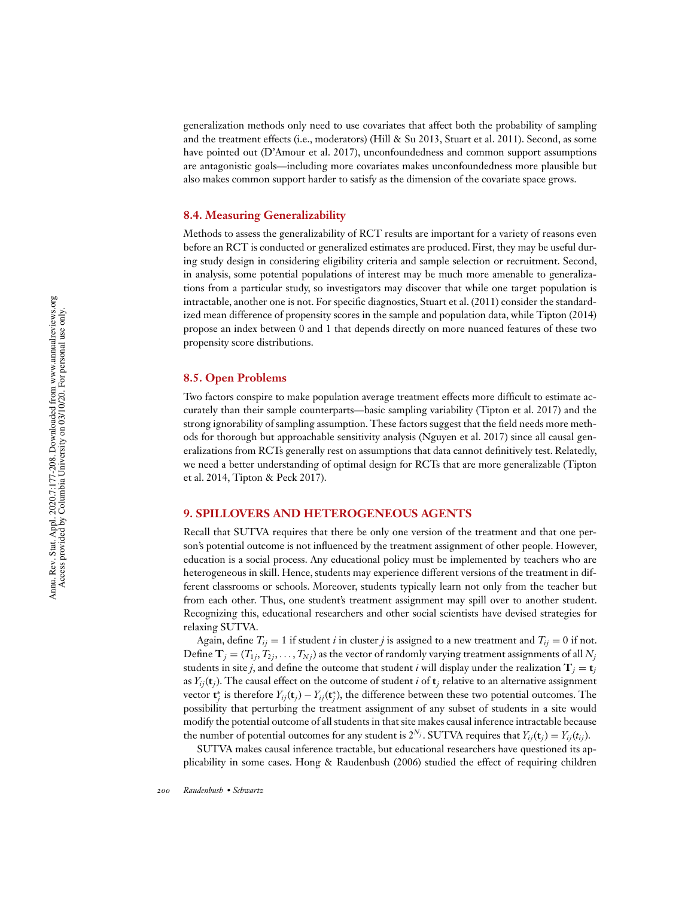generalization methods only need to use covariates that affect both the probability of sampling and the treatment effects (i.e., moderators) (Hill & Su 2013, Stuart et al. 2011). Second, as some have pointed out (D'Amour et al. 2017), unconfoundedness and common support assumptions are antagonistic goals—including more covariates makes unconfoundedness more plausible but also makes common support harder to satisfy as the dimension of the covariate space grows.

#### **8.4. Measuring Generalizability**

Methods to assess the generalizability of RCT results are important for a variety of reasons even before an RCT is conducted or generalized estimates are produced. First, they may be useful during study design in considering eligibility criteria and sample selection or recruitment. Second, in analysis, some potential populations of interest may be much more amenable to generalizations from a particular study, so investigators may discover that while one target population is intractable, another one is not. For specific diagnostics, Stuart et al. (2011) consider the standardized mean difference of propensity scores in the sample and population data, while Tipton (2014) propose an index between 0 and 1 that depends directly on more nuanced features of these two propensity score distributions.

#### **8.5. Open Problems**

Two factors conspire to make population average treatment effects more difficult to estimate accurately than their sample counterparts—basic sampling variability (Tipton et al. 2017) and the strong ignorability of sampling assumption. These factors suggest that the field needs more methods for thorough but approachable sensitivity analysis (Nguyen et al. 2017) since all causal generalizations from RCTs generally rest on assumptions that data cannot definitively test. Relatedly, we need a better understanding of optimal design for RCTs that are more generalizable (Tipton et al. 2014, Tipton & Peck 2017).

# **9. SPILLOVERS AND HETEROGENEOUS AGENTS**

Recall that SUTVA requires that there be only one version of the treatment and that one person's potential outcome is not influenced by the treatment assignment of other people. However, education is a social process. Any educational policy must be implemented by teachers who are heterogeneous in skill. Hence, students may experience different versions of the treatment in different classrooms or schools. Moreover, students typically learn not only from the teacher but from each other. Thus, one student's treatment assignment may spill over to another student. Recognizing this, educational researchers and other social scientists have devised strategies for relaxing SUTVA.

Again, define  $T_i = 1$  if student *i* in cluster *j* is assigned to a new treatment and  $T_i = 0$  if not. Define  $\mathbf{T}_j = (T_{1j}, T_{2j}, \ldots, T_{Nj})$  as the vector of randomly varying treatment assignments of all  $N_j$ students in site *j*, and define the outcome that student *i* will display under the realization  $T_i = t_j$ as  $Y_{ij}$ ( $t_j$ ). The causal effect on the outcome of student *i* of  $t_j$  relative to an alternative assignment vector  $\mathbf{t}_j^*$  is therefore  $Y_{ij}(\mathbf{t}_j) - Y_{ij}(\mathbf{t}_j^*)$ , the difference between these two potential outcomes. The possibility that perturbing the treatment assignment of any subset of students in a site would modify the potential outcome of all students in that site makes causal inference intractable because the number of potential outcomes for any student is  $2^{N_j}$ . SUTVA requires that  $Y_{ij}(\mathbf{t}_j) = Y_{ij}(t_{ij}).$ 

SUTVA makes causal inference tractable, but educational researchers have questioned its applicability in some cases. Hong & Raudenbush (2006) studied the effect of requiring children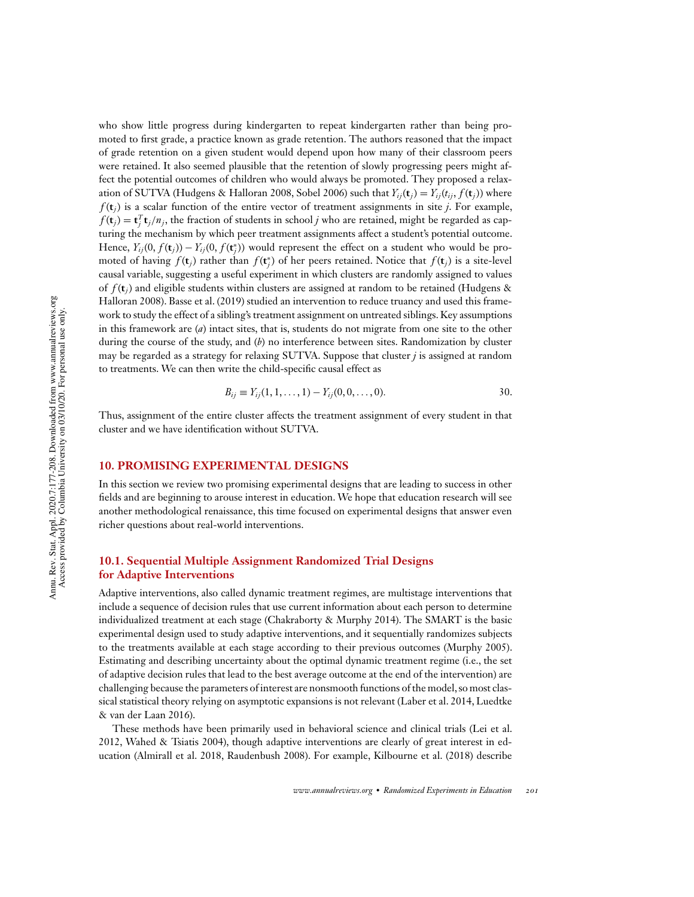who show little progress during kindergarten to repeat kindergarten rather than being promoted to first grade, a practice known as grade retention. The authors reasoned that the impact of grade retention on a given student would depend upon how many of their classroom peers were retained. It also seemed plausible that the retention of slowly progressing peers might affect the potential outcomes of children who would always be promoted. They proposed a relaxation of SUTVA (Hudgens & Halloran 2008, Sobel 2006) such that  $Y_{ij}(\mathbf{t}_i) = Y_{ij}(t_i, f(\mathbf{t}_i))$  where  $f(\mathbf{t}_i)$  is a scalar function of the entire vector of treatment assignments in site *j*. For example,  $f(\mathbf{t}_j) = \mathbf{t}_j^T \mathbf{t}_j / n_j$ , the fraction of students in school *j* who are retained, might be regarded as capturing the mechanism by which peer treatment assignments affect a student's potential outcome. Hence,  $Y_{ij}(0, f(t_j)) - Y_{ij}(0, f(t_j^*))$  would represent the effect on a student who would be promoted of having  $f(\mathbf{t}_j)$  rather than  $f(\mathbf{t}_j^*)$  of her peers retained. Notice that  $f(\mathbf{t}_j)$  is a site-level causal variable, suggesting a useful experiment in which clusters are randomly assigned to values of *f* (**t***j*) and eligible students within clusters are assigned at random to be retained (Hudgens & Halloran 2008). Basse et al. (2019) studied an intervention to reduce truancy and used this framework to study the effect of a sibling's treatment assignment on untreated siblings. Key assumptions in this framework are (*a*) intact sites, that is, students do not migrate from one site to the other during the course of the study, and (*b*) no interference between sites. Randomization by cluster may be regarded as a strategy for relaxing SUTVA. Suppose that cluster *j* is assigned at random to treatments. We can then write the child-specific causal effect as

$$
B_{ij} \equiv Y_{ij}(1,1,\ldots,1) - Y_{ij}(0,0,\ldots,0). \tag{30}
$$

Thus, assignment of the entire cluster affects the treatment assignment of every student in that cluster and we have identification without SUTVA.

# **10. PROMISING EXPERIMENTAL DESIGNS**

In this section we review two promising experimental designs that are leading to success in other fields and are beginning to arouse interest in education. We hope that education research will see another methodological renaissance, this time focused on experimental designs that answer even richer questions about real-world interventions.

# **10.1. Sequential Multiple Assignment Randomized Trial Designs for Adaptive Interventions**

Adaptive interventions, also called dynamic treatment regimes, are multistage interventions that include a sequence of decision rules that use current information about each person to determine individualized treatment at each stage (Chakraborty & Murphy 2014). The SMART is the basic experimental design used to study adaptive interventions, and it sequentially randomizes subjects to the treatments available at each stage according to their previous outcomes (Murphy 2005). Estimating and describing uncertainty about the optimal dynamic treatment regime (i.e., the set of adaptive decision rules that lead to the best average outcome at the end of the intervention) are challenging because the parameters of interest are nonsmooth functions of the model, so most classical statistical theory relying on asymptotic expansions is not relevant (Laber et al. 2014, Luedtke & van der Laan 2016).

These methods have been primarily used in behavioral science and clinical trials (Lei et al. 2012, Wahed & Tsiatis 2004), though adaptive interventions are clearly of great interest in education (Almirall et al. 2018, Raudenbush 2008). For example, Kilbourne et al. (2018) describe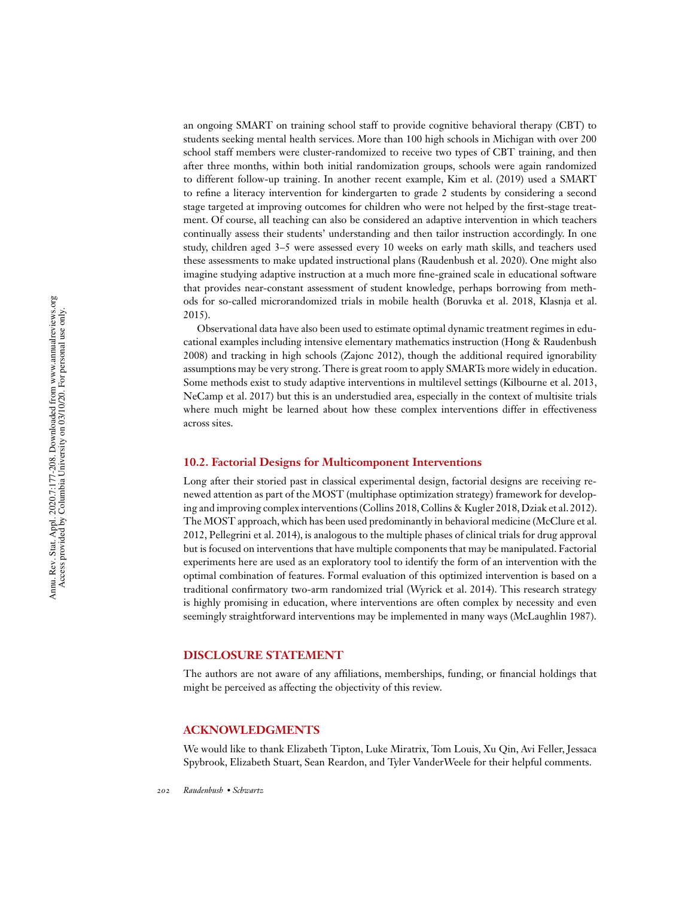an ongoing SMART on training school staff to provide cognitive behavioral therapy (CBT) to students seeking mental health services. More than 100 high schools in Michigan with over 200 school staff members were cluster-randomized to receive two types of CBT training, and then after three months, within both initial randomization groups, schools were again randomized to different follow-up training. In another recent example, Kim et al. (2019) used a SMART to refine a literacy intervention for kindergarten to grade 2 students by considering a second stage targeted at improving outcomes for children who were not helped by the first-stage treatment. Of course, all teaching can also be considered an adaptive intervention in which teachers continually assess their students' understanding and then tailor instruction accordingly. In one study, children aged 3–5 were assessed every 10 weeks on early math skills, and teachers used these assessments to make updated instructional plans (Raudenbush et al. 2020). One might also imagine studying adaptive instruction at a much more fine-grained scale in educational software that provides near-constant assessment of student knowledge, perhaps borrowing from methods for so-called microrandomized trials in mobile health (Boruvka et al. 2018, Klasnja et al. 2015).

Observational data have also been used to estimate optimal dynamic treatment regimes in educational examples including intensive elementary mathematics instruction (Hong & Raudenbush 2008) and tracking in high schools (Zajonc 2012), though the additional required ignorability assumptions may be very strong. There is great room to apply SMARTs more widely in education. Some methods exist to study adaptive interventions in multilevel settings (Kilbourne et al. 2013, NeCamp et al. 2017) but this is an understudied area, especially in the context of multisite trials where much might be learned about how these complex interventions differ in effectiveness across sites.

#### **10.2. Factorial Designs for Multicomponent Interventions**

Long after their storied past in classical experimental design, factorial designs are receiving renewed attention as part of the MOST (multiphase optimization strategy) framework for developing and improving complex interventions (Collins 2018, Collins & Kugler 2018, Dziak et al. 2012). The MOST approach, which has been used predominantly in behavioral medicine (McClure et al. 2012, Pellegrini et al. 2014), is analogous to the multiple phases of clinical trials for drug approval but is focused on interventions that have multiple components that may be manipulated. Factorial experiments here are used as an exploratory tool to identify the form of an intervention with the optimal combination of features. Formal evaluation of this optimized intervention is based on a traditional confirmatory two-arm randomized trial (Wyrick et al. 2014). This research strategy is highly promising in education, where interventions are often complex by necessity and even seemingly straightforward interventions may be implemented in many ways (McLaughlin 1987).

#### **DISCLOSURE STATEMENT**

The authors are not aware of any affiliations, memberships, funding, or financial holdings that might be perceived as affecting the objectivity of this review.

#### **ACKNOWLEDGMENTS**

We would like to thank Elizabeth Tipton, Luke Miratrix, Tom Louis, Xu Qin, Avi Feller, Jessaca Spybrook, Elizabeth Stuart, Sean Reardon, and Tyler VanderWeele for their helpful comments.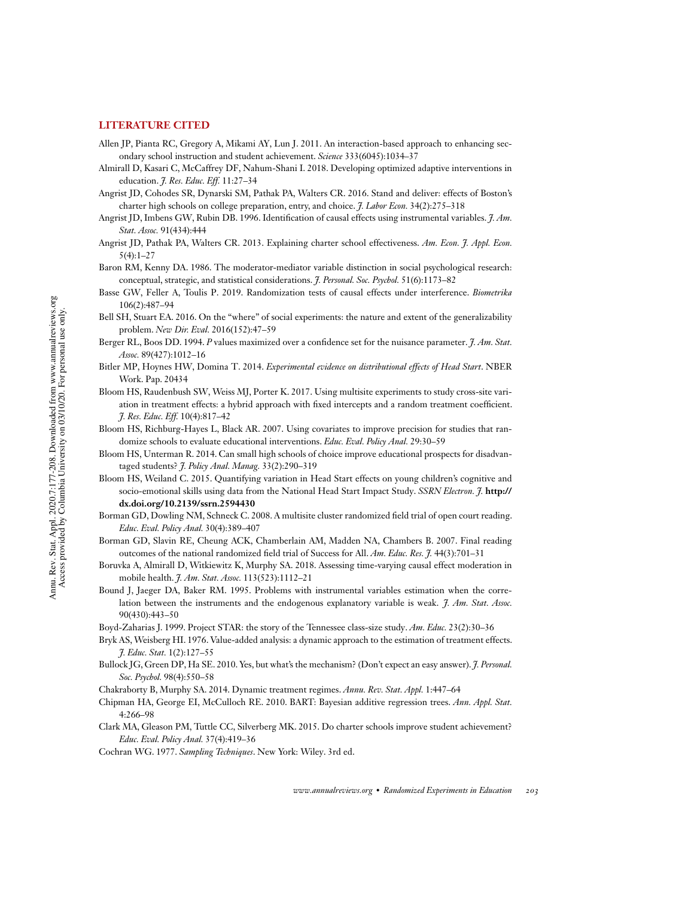### **LITERATURE CITED**

- Allen JP, Pianta RC, Gregory A, Mikami AY, Lun J. 2011. An interaction-based approach to enhancing secondary school instruction and student achievement. *Science* 333(6045):1034–37
- Almirall D, Kasari C, McCaffrey DF, Nahum-Shani I. 2018. Developing optimized adaptive interventions in education. *J. Res. Educ. Eff.* 11:27–34
- Angrist JD, Cohodes SR, Dynarski SM, Pathak PA, Walters CR. 2016. Stand and deliver: effects of Boston's charter high schools on college preparation, entry, and choice. *J. Labor Econ.* 34(2):275–318
- Angrist JD, Imbens GW, Rubin DB. 1996. Identification of causal effects using instrumental variables. *J. Am. Stat. Assoc.* 91(434):444
- Angrist JD, Pathak PA, Walters CR. 2013. Explaining charter school effectiveness. *Am. Econ. J. Appl. Econ.*  $5(4):1-27$
- Baron RM, Kenny DA. 1986. The moderator-mediator variable distinction in social psychological research: conceptual, strategic, and statistical considerations. *J. Personal. Soc. Psychol.* 51(6):1173–82
- Basse GW, Feller A, Toulis P. 2019. Randomization tests of causal effects under interference. *Biometrika* 106(2):487–94
- Bell SH, Stuart EA. 2016. On the "where" of social experiments: the nature and extent of the generalizability problem. *New Dir. Eval.* 2016(152):47–59
- Berger RL, Boos DD. 1994. *P* values maximized over a confidence set for the nuisance parameter. *J. Am. Stat. Assoc.* 89(427):1012–16
- Bitler MP, Hoynes HW, Domina T. 2014. *Experimental evidence on distributional effects of Head Start*. NBER Work. Pap. 20434
- Bloom HS, Raudenbush SW, Weiss MJ, Porter K. 2017. Using multisite experiments to study cross-site variation in treatment effects: a hybrid approach with fixed intercepts and a random treatment coefficient. *J. Res. Educ. Eff.* 10(4):817–42
- Bloom HS, Richburg-Hayes L, Black AR. 2007. Using covariates to improve precision for studies that randomize schools to evaluate educational interventions. *Educ. Eval. Policy Anal.* 29:30–59
- Bloom HS, Unterman R. 2014. Can small high schools of choice improve educational prospects for disadvantaged students? *J. Policy Anal. Manag.* 33(2):290–319
- Bloom HS, Weiland C. 2015. Quantifying variation in Head Start effects on young children's cognitive and socio-emotional skills using data from the National Head Start Impact Study. *SSRN Electron. J.* **http:// dx.doi.org/10.2139/ssrn.2594430**
- Borman GD, Dowling NM, Schneck C. 2008. A multisite cluster randomized field trial of open court reading. *Educ. Eval. Policy Anal.* 30(4):389–407
- Borman GD, Slavin RE, Cheung ACK, Chamberlain AM, Madden NA, Chambers B. 2007. Final reading outcomes of the national randomized field trial of Success for All. *Am. Educ. Res. J.* 44(3):701–31
- Boruvka A, Almirall D, Witkiewitz K, Murphy SA. 2018. Assessing time-varying causal effect moderation in mobile health. *J. Am. Stat. Assoc.* 113(523):1112–21
- Bound J, Jaeger DA, Baker RM. 1995. Problems with instrumental variables estimation when the correlation between the instruments and the endogenous explanatory variable is weak. *J. Am. Stat. Assoc.* 90(430):443–50
- Boyd-Zaharias J. 1999. Project STAR: the story of the Tennessee class-size study. *Am. Educ.* 23(2):30–36
- Bryk AS, Weisberg HI. 1976. Value-added analysis: a dynamic approach to the estimation of treatment effects. *J. Educ. Stat.* 1(2):127–55
- Bullock JG, Green DP, Ha SE. 2010. Yes, but what's the mechanism? (Don't expect an easy answer). *J. Personal. Soc. Psychol.* 98(4):550–58
- Chakraborty B, Murphy SA. 2014. Dynamic treatment regimes. *Annu. Rev. Stat. Appl.* 1:447–64
- Chipman HA, George EI, McCulloch RE. 2010. BART: Bayesian additive regression trees. *Ann. Appl. Stat.* 4:266–98
- Clark MA, Gleason PM, Tuttle CC, Silverberg MK. 2015. Do charter schools improve student achievement? *Educ. Eval. Policy Anal.* 37(4):419–36
- Cochran WG. 1977. *Sampling Techniques*. New York: Wiley. 3rd ed.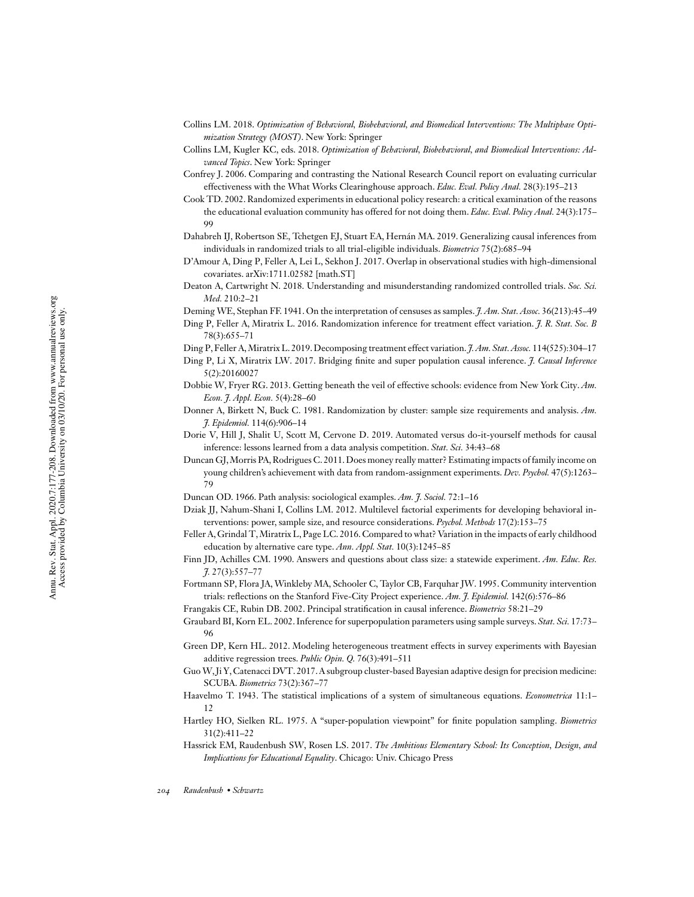- Collins LM. 2018. *Optimization of Behavioral, Biobehavioral, and Biomedical Interventions: The Multiphase Optimization Strategy (MOST)*. New York: Springer
- Collins LM, Kugler KC, eds. 2018. *Optimization of Behavioral, Biobehavioral, and Biomedical Interventions: Advanced Topics*. New York: Springer
- Confrey J. 2006. Comparing and contrasting the National Research Council report on evaluating curricular effectiveness with the What Works Clearinghouse approach. *Educ. Eval. Policy Anal.* 28(3):195–213
- Cook TD. 2002. Randomized experiments in educational policy research: a critical examination of the reasons the educational evaluation community has offered for not doing them. *Educ. Eval. Policy Anal.* 24(3):175– **99**
- Dahabreh IJ, Robertson SE, Tchetgen EJ, Stuart EA, Hernán MA. 2019. Generalizing causal inferences from individuals in randomized trials to all trial-eligible individuals. *Biometrics* 75(2):685–94
- D'Amour A, Ding P, Feller A, Lei L, Sekhon J. 2017. Overlap in observational studies with high-dimensional covariates. arXiv:1711.02582 [math.ST]
- Deaton A, Cartwright N. 2018. Understanding and misunderstanding randomized controlled trials. *Soc. Sci. Med.* 210:2–21
- Deming WE, Stephan FF. 1941. On the interpretation of censuses as samples. *J. Am. Stat. Assoc.* 36(213):45–49
- Ding P, Feller A, Miratrix L. 2016. Randomization inference for treatment effect variation. *J. R. Stat. Soc. B* 78(3):655–71
- Ding P, Feller A,Miratrix L. 2019. Decomposing treatment effect variation. *J. Am. Stat. Assoc.* 114(525):304–17
- Ding P, Li X, Miratrix LW. 2017. Bridging finite and super population causal inference. *J. Causal Inference* 5(2):20160027
- Dobbie W, Fryer RG. 2013. Getting beneath the veil of effective schools: evidence from New York City. *Am. Econ. J. Appl. Econ.* 5(4):28–60
- Donner A, Birkett N, Buck C. 1981. Randomization by cluster: sample size requirements and analysis. *Am. J. Epidemiol.* 114(6):906–14
- Dorie V, Hill J, Shalit U, Scott M, Cervone D. 2019. Automated versus do-it-yourself methods for causal inference: lessons learned from a data analysis competition. *Stat. Sci.* 34:43–68
- Duncan GJ,Morris PA, Rodrigues C. 2011.Does money really matter? Estimating impacts of family income on young children's achievement with data from random-assignment experiments. *Dev. Psychol.* 47(5):1263– 79
- Duncan OD. 1966. Path analysis: sociological examples. *Am. J. Sociol.* 72:1–16
- Dziak JJ, Nahum-Shani I, Collins LM. 2012. Multilevel factorial experiments for developing behavioral interventions: power, sample size, and resource considerations. *Psychol. Methods* 17(2):153–75
- Feller A, Grindal T,Miratrix L, Page LC. 2016. Compared to what? Variation in the impacts of early childhood education by alternative care type. *Ann. Appl. Stat.* 10(3):1245–85
- Finn JD, Achilles CM. 1990. Answers and questions about class size: a statewide experiment. *Am. Educ. Res. J.* 27(3):557–77
- Fortmann SP, Flora JA, Winkleby MA, Schooler C, Taylor CB, Farquhar JW. 1995. Community intervention trials: reflections on the Stanford Five-City Project experience. *Am. J. Epidemiol.* 142(6):576–86
- Frangakis CE, Rubin DB. 2002. Principal stratification in causal inference. *Biometrics* 58:21–29
- Graubard BI, Korn EL. 2002. Inference for superpopulation parameters using sample surveys. *Stat. Sci.* 17:73– 96
- Green DP, Kern HL. 2012. Modeling heterogeneous treatment effects in survey experiments with Bayesian additive regression trees. *Public Opin. Q.* 76(3):491–511
- Guo W, Ji Y, Catenacci DVT. 2017. A subgroup cluster-based Bayesian adaptive design for precision medicine: SCUBA. *Biometrics* 73(2):367–77
- Haavelmo T. 1943. The statistical implications of a system of simultaneous equations. *Econometrica* 11:1– 12
- Hartley HO, Sielken RL. 1975. A "super-population viewpoint" for finite population sampling. *Biometrics* 31(2):411–22
- Hassrick EM, Raudenbush SW, Rosen LS. 2017. *The Ambitious Elementary School: Its Conception, Design, and Implications for Educational Equality*. Chicago: Univ. Chicago Press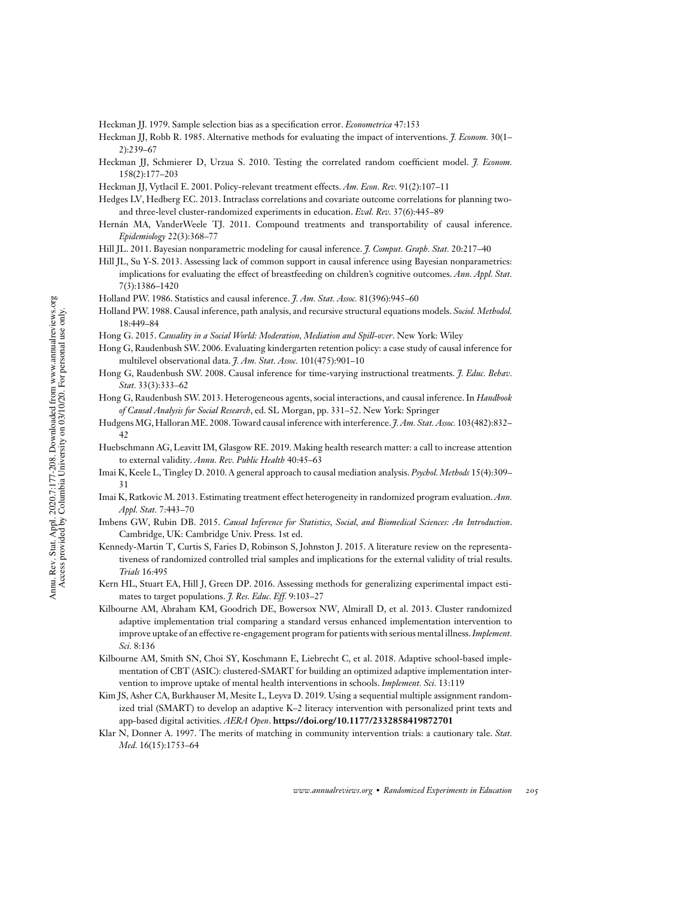- Heckman JJ. 1979. Sample selection bias as a specification error. *Econometrica* 47:153
- Heckman JJ, Robb R. 1985. Alternative methods for evaluating the impact of interventions. *J. Econom.* 30(1– 2):239–67
- Heckman JJ, Schmierer D, Urzua S. 2010. Testing the correlated random coefficient model. *J. Econom.* 158(2):177–203
- Heckman JJ, Vytlacil E. 2001. Policy-relevant treatment effects. *Am. Econ. Rev.* 91(2):107–11
- Hedges LV, Hedberg EC. 2013. Intraclass correlations and covariate outcome correlations for planning twoand three-level cluster-randomized experiments in education. *Eval. Rev.* 37(6):445–89
- Hernán MA, VanderWeele TJ. 2011. Compound treatments and transportability of causal inference. *Epidemiology* 22(3):368–77
- Hill JL. 2011. Bayesian nonparametric modeling for causal inference. *J. Comput. Graph. Stat.* 20:217–40
- Hill JL, Su Y-S. 2013. Assessing lack of common support in causal inference using Bayesian nonparametrics: implications for evaluating the effect of breastfeeding on children's cognitive outcomes. *Ann. Appl. Stat.* 7(3):1386–1420
- Holland PW. 1986. Statistics and causal inference. *J. Am. Stat. Assoc.* 81(396):945–60
- Holland PW. 1988. Causal inference, path analysis, and recursive structural equations models. *Sociol. Methodol.* 18:449–84
- Hong G. 2015. *Causality in a Social World: Moderation, Mediation and Spill-over*. New York: Wiley
- Hong G, Raudenbush SW. 2006. Evaluating kindergarten retention policy: a case study of causal inference for multilevel observational data. *J. Am. Stat. Assoc.* 101(475):901–10
- Hong G, Raudenbush SW. 2008. Causal inference for time-varying instructional treatments. *J. Educ. Behav. Stat.* 33(3):333–62
- Hong G, Raudenbush SW. 2013. Heterogeneous agents, social interactions, and causal inference. In *Handbook of Causal Analysis for Social Research*, ed. SL Morgan, pp. 331–52. New York: Springer
- Hudgens MG, Halloran ME. 2008. Toward causal inference with interference. *J. Am. Stat. Assoc.* 103(482):832– 42
- Huebschmann AG, Leavitt IM, Glasgow RE. 2019. Making health research matter: a call to increase attention to external validity. *Annu. Rev. Public Health* 40:45–63
- Imai K, Keele L, Tingley D. 2010. A general approach to causal mediation analysis. *Psychol. Methods* 15(4):309– 31
- Imai K, Ratkovic M. 2013. Estimating treatment effect heterogeneity in randomized program evaluation. *Ann. Appl. Stat.* 7:443–70
- Imbens GW, Rubin DB. 2015. *Causal Inference for Statistics, Social, and Biomedical Sciences: An Introduction*. Cambridge, UK: Cambridge Univ. Press. 1st ed.
- Kennedy-Martin T, Curtis S, Faries D, Robinson S, Johnston J. 2015. A literature review on the representativeness of randomized controlled trial samples and implications for the external validity of trial results. *Trials* 16:495
- Kern HL, Stuart EA, Hill J, Green DP. 2016. Assessing methods for generalizing experimental impact estimates to target populations. *J. Res. Educ. Eff.* 9:103–27
- Kilbourne AM, Abraham KM, Goodrich DE, Bowersox NW, Almirall D, et al. 2013. Cluster randomized adaptive implementation trial comparing a standard versus enhanced implementation intervention to improve uptake of an effective re-engagement program for patients with serious mental illness.*Implement. Sci.* 8:136
- Kilbourne AM, Smith SN, Choi SY, Koschmann E, Liebrecht C, et al. 2018. Adaptive school-based implementation of CBT (ASIC): clustered-SMART for building an optimized adaptive implementation intervention to improve uptake of mental health interventions in schools. *Implement. Sci.* 13:119
- Kim JS, Asher CA, Burkhauser M, Mesite L, Leyva D. 2019. Using a sequential multiple assignment randomized trial (SMART) to develop an adaptive K–2 literacy intervention with personalized print texts and app-based digital activities. *AERA Open*. **https://doi.org/10.1177/2332858419872701**
- Klar N, Donner A. 1997. The merits of matching in community intervention trials: a cautionary tale. *Stat. Med.* 16(15):1753–64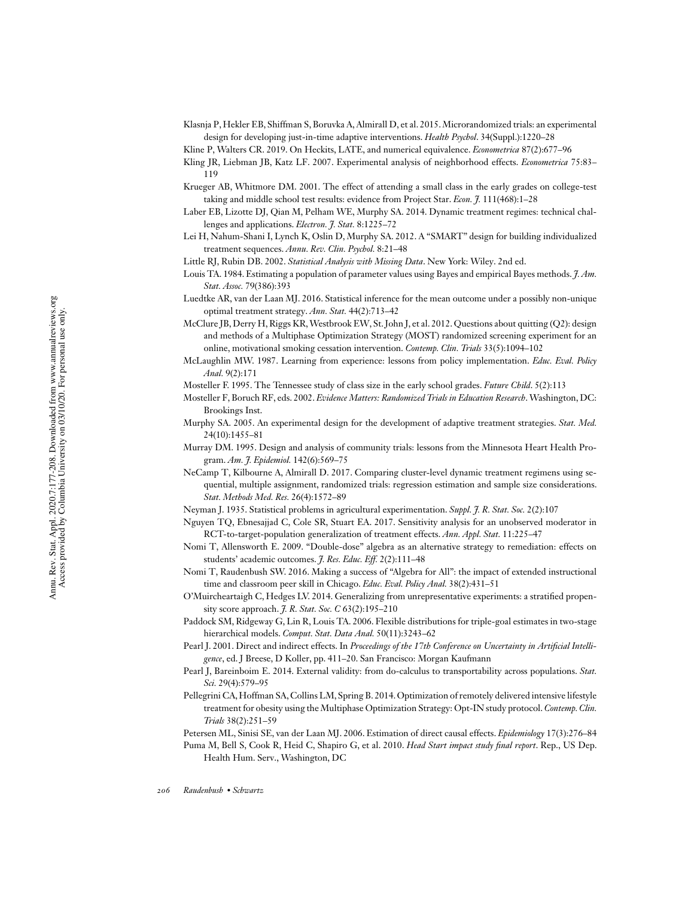Klasnja P, Hekler EB, Shiffman S, Boruvka A, Almirall D, et al. 2015. Microrandomized trials: an experimental design for developing just-in-time adaptive interventions. *Health Psychol*. 34(Suppl.):1220–28

Kline P, Walters CR. 2019. On Heckits, LATE, and numerical equivalence. *Econometrica* 87(2):677–96

- Kling JR, Liebman JB, Katz LF. 2007. Experimental analysis of neighborhood effects. *Econometrica* 75:83– 119
- Krueger AB, Whitmore DM. 2001. The effect of attending a small class in the early grades on college-test taking and middle school test results: evidence from Project Star. *Econ. J.* 111(468):1–28
- Laber EB, Lizotte DJ, Qian M, Pelham WE, Murphy SA. 2014. Dynamic treatment regimes: technical challenges and applications. *Electron. J. Stat.* 8:1225–72
- Lei H, Nahum-Shani I, Lynch K, Oslin D, Murphy SA. 2012. A "SMART" design for building individualized treatment sequences. *Annu. Rev. Clin. Psychol.* 8:21–48
- Little RJ, Rubin DB. 2002. *Statistical Analysis with Missing Data*. New York: Wiley. 2nd ed.
- Louis TA. 1984. Estimating a population of parameter values using Bayes and empirical Bayes methods. *J. Am. Stat. Assoc.* 79(386):393
- Luedtke AR, van der Laan MJ. 2016. Statistical inference for the mean outcome under a possibly non-unique optimal treatment strategy. *Ann. Stat.* 44(2):713–42
- McClure JB, Derry H, Riggs KR, Westbrook EW, St. John J, et al. 2012. Questions about quitting (Q2): design and methods of a Multiphase Optimization Strategy (MOST) randomized screening experiment for an online, motivational smoking cessation intervention. *Contemp. Clin. Trials* 33(5):1094–102
- McLaughlin MW. 1987. Learning from experience: lessons from policy implementation. *Educ. Eval. Policy Anal.* 9(2):171
- Mosteller F. 1995. The Tennessee study of class size in the early school grades. *Future Child*. 5(2):113
- Mosteller F, Boruch RF, eds. 2002. *Evidence Matters: Randomized Trials in Education Research*.Washington, DC: Brookings Inst.
- Murphy SA. 2005. An experimental design for the development of adaptive treatment strategies. *Stat. Med.* 24(10):1455–81
- Murray DM. 1995. Design and analysis of community trials: lessons from the Minnesota Heart Health Program. *Am. J. Epidemiol.* 142(6):569–75
- NeCamp T, Kilbourne A, Almirall D. 2017. Comparing cluster-level dynamic treatment regimens using sequential, multiple assignment, randomized trials: regression estimation and sample size considerations. *Stat. Methods Med. Res.* 26(4):1572–89
- Neyman J. 1935. Statistical problems in agricultural experimentation. *Suppl. J. R. Stat. Soc.* 2(2):107
- Nguyen TQ, Ebnesajjad C, Cole SR, Stuart EA. 2017. Sensitivity analysis for an unobserved moderator in RCT-to-target-population generalization of treatment effects. *Ann. Appl. Stat.* 11:225–47
- Nomi T, Allensworth E. 2009. "Double-dose" algebra as an alternative strategy to remediation: effects on students' academic outcomes. *J. Res. Educ. Eff.* 2(2):111–48
- Nomi T, Raudenbush SW. 2016. Making a success of "Algebra for All": the impact of extended instructional time and classroom peer skill in Chicago. *Educ. Eval. Policy Anal.* 38(2):431–51
- O'Muircheartaigh C, Hedges LV. 2014. Generalizing from unrepresentative experiments: a stratified propensity score approach. *J. R. Stat. Soc. C* 63(2):195–210
- Paddock SM, Ridgeway G, Lin R, Louis TA. 2006. Flexible distributions for triple-goal estimates in two-stage hierarchical models. *Comput. Stat. Data Anal.* 50(11):3243–62
- Pearl J. 2001. Direct and indirect effects. In *Proceedings of the 17th Conference on Uncertainty in Artificial Intelligence*, ed. J Breese, D Koller, pp. 411–20. San Francisco: Morgan Kaufmann
- Pearl J, Bareinboim E. 2014. External validity: from do-calculus to transportability across populations. *Stat. Sci.* 29(4):579–95
- Pellegrini CA,Hoffman SA, Collins LM, Spring B. 2014. Optimization of remotely delivered intensive lifestyle treatment for obesity using the Multiphase Optimization Strategy: Opt-IN study protocol.*Contemp. Clin. Trials* 38(2):251–59
- Petersen ML, Sinisi SE, van der Laan MJ. 2006. Estimation of direct causal effects. *Epidemiology* 17(3):276–84

Puma M, Bell S, Cook R, Heid C, Shapiro G, et al. 2010. *Head Start impact study final report*. Rep., US Dep. Health Hum. Serv., Washington, DC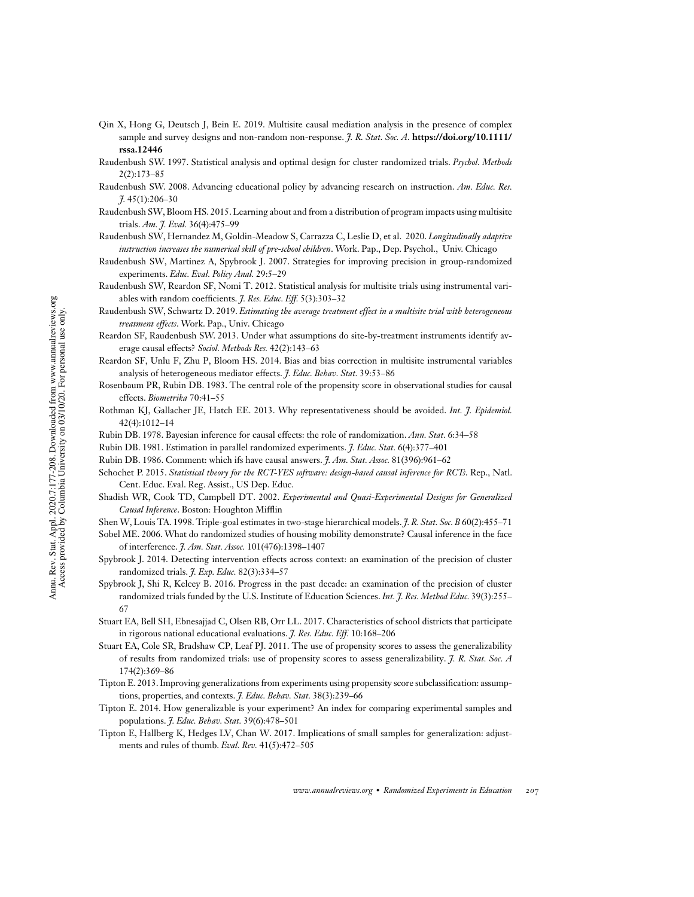- Qin X, Hong G, Deutsch J, Bein E. 2019. Multisite causal mediation analysis in the presence of complex sample and survey designs and non-random non-response. *J. R. Stat. Soc. A.* **https://doi.org/10.1111/ rssa.12446**
- Raudenbush SW. 1997. Statistical analysis and optimal design for cluster randomized trials. *Psychol. Methods* 2(2):173–85
- Raudenbush SW. 2008. Advancing educational policy by advancing research on instruction. *Am. Educ. Res. J.* 45(1):206–30
- Raudenbush SW, Bloom HS. 2015. Learning about and from a distribution of program impacts using multisite trials. *Am. J. Eval.* 36(4):475–99
- Raudenbush SW, Hernandez M, Goldin-Meadow S, Carrazza C, Leslie D, et al. 2020. *Longitudinally adaptive instruction increases the numerical skill of pre-school children*. Work. Pap., Dep. Psychol., Univ. Chicago
- Raudenbush SW, Martinez A, Spybrook J. 2007. Strategies for improving precision in group-randomized experiments. *Educ. Eval. Policy Anal.* 29:5–29
- Raudenbush SW, Reardon SF, Nomi T. 2012. Statistical analysis for multisite trials using instrumental variables with random coefficients. *J. Res. Educ. Eff.* 5(3):303–32
- Raudenbush SW, Schwartz D. 2019. *Estimating the average treatment effect in a multisite trial with heterogeneous treatment effects*. Work. Pap., Univ. Chicago
- Reardon SF, Raudenbush SW. 2013. Under what assumptions do site-by-treatment instruments identify average causal effects? *Sociol. Methods Res.* 42(2):143–63
- Reardon SF, Unlu F, Zhu P, Bloom HS. 2014. Bias and bias correction in multisite instrumental variables analysis of heterogeneous mediator effects. *J. Educ. Behav. Stat.* 39:53–86
- Rosenbaum PR, Rubin DB. 1983. The central role of the propensity score in observational studies for causal effects. *Biometrika* 70:41–55
- Rothman KJ, Gallacher JE, Hatch EE. 2013. Why representativeness should be avoided. *Int. J. Epidemiol.* 42(4):1012–14
- Rubin DB. 1978. Bayesian inference for causal effects: the role of randomization. *Ann. Stat.* 6:34–58
- Rubin DB. 1981. Estimation in parallel randomized experiments. *J. Educ. Stat.* 6(4):377–401
- Rubin DB. 1986. Comment: which ifs have causal answers. *J. Am. Stat. Assoc.* 81(396):961–62
- Schochet P. 2015. *Statistical theory for the RCT-YES software: design-based causal inference for RCTs*. Rep., Natl. Cent. Educ. Eval. Reg. Assist., US Dep. Educ.
- Shadish WR, Cook TD, Campbell DT. 2002. *Experimental and Quasi-Experimental Designs for Generalized Causal Inference*. Boston: Houghton Mifflin
- Shen W, Louis TA. 1998. Triple-goal estimates in two-stage hierarchical models. *J. R. Stat. Soc. B* 60(2):455–71
- Sobel ME. 2006. What do randomized studies of housing mobility demonstrate? Causal inference in the face of interference. *J. Am. Stat. Assoc.* 101(476):1398–1407
- Spybrook J. 2014. Detecting intervention effects across context: an examination of the precision of cluster randomized trials. *J. Exp. Educ.* 82(3):334–57
- Spybrook J, Shi R, Kelcey B. 2016. Progress in the past decade: an examination of the precision of cluster randomized trials funded by the U.S. Institute of Education Sciences. *Int. J. Res. Method Educ.* 39(3):255– 67
- Stuart EA, Bell SH, Ebnesajjad C, Olsen RB, Orr LL. 2017. Characteristics of school districts that participate in rigorous national educational evaluations. *J. Res. Educ. Eff.* 10:168–206
- Stuart EA, Cole SR, Bradshaw CP, Leaf PJ. 2011. The use of propensity scores to assess the generalizability of results from randomized trials: use of propensity scores to assess generalizability. *J. R. Stat. Soc. A* 174(2):369–86
- Tipton E. 2013. Improving generalizations from experiments using propensity score subclassification: assumptions, properties, and contexts. *J. Educ. Behav. Stat.* 38(3):239–66
- Tipton E. 2014. How generalizable is your experiment? An index for comparing experimental samples and populations. *J. Educ. Behav. Stat.* 39(6):478–501
- Tipton E, Hallberg K, Hedges LV, Chan W. 2017. Implications of small samples for generalization: adjustments and rules of thumb. *Eval. Rev.* 41(5):472–505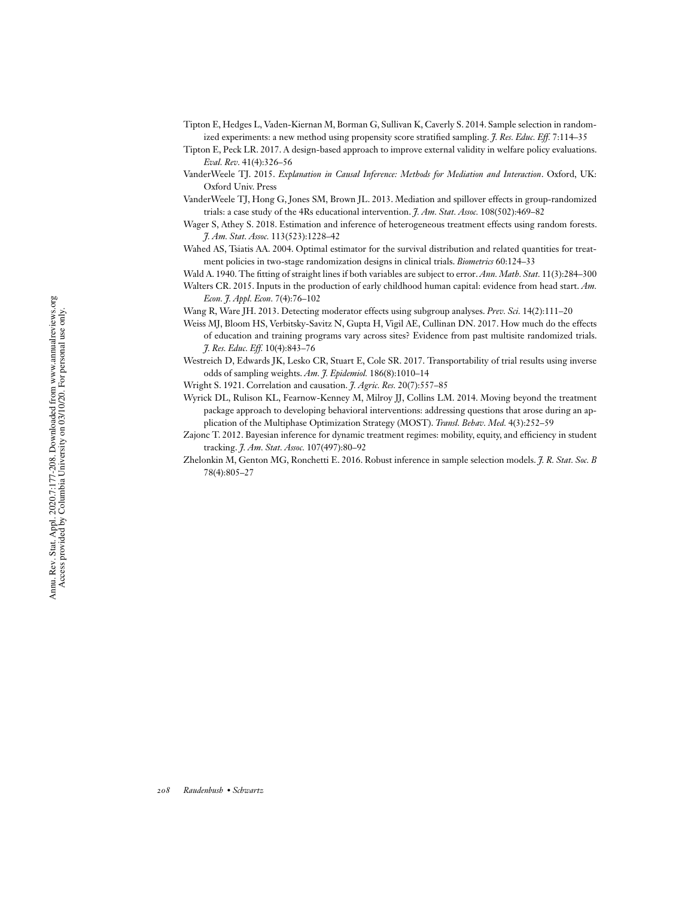- Tipton E, Hedges L, Vaden-Kiernan M, Borman G, Sullivan K, Caverly S. 2014. Sample selection in randomized experiments: a new method using propensity score stratified sampling. *J. Res. Educ. Eff.* 7:114–35
- Tipton E, Peck LR. 2017. A design-based approach to improve external validity in welfare policy evaluations. *Eval. Rev.* 41(4):326–56

VanderWeele TJ. 2015. *Explanation in Causal Inference: Methods for Mediation and Interaction*. Oxford, UK: Oxford Univ. Press

- VanderWeele TJ, Hong G, Jones SM, Brown JL. 2013. Mediation and spillover effects in group-randomized trials: a case study of the 4Rs educational intervention. *J. Am. Stat. Assoc.* 108(502):469–82
- Wager S, Athey S. 2018. Estimation and inference of heterogeneous treatment effects using random forests. *J. Am. Stat. Assoc.* 113(523):1228–42
- Wahed AS, Tsiatis AA. 2004. Optimal estimator for the survival distribution and related quantities for treatment policies in two-stage randomization designs in clinical trials. *Biometrics* 60:124–33

Wald A. 1940. The fitting of straight lines if both variables are subject to error. *Ann. Math. Stat.* 11(3):284–300

- Walters CR. 2015. Inputs in the production of early childhood human capital: evidence from head start. *Am. Econ. J. Appl. Econ.* 7(4):76–102
- Wang R, Ware JH. 2013. Detecting moderator effects using subgroup analyses. *Prev. Sci.* 14(2):111–20
- Weiss MJ, Bloom HS, Verbitsky-Savitz N, Gupta H, Vigil AE, Cullinan DN. 2017. How much do the effects of education and training programs vary across sites? Evidence from past multisite randomized trials. *J. Res. Educ. Eff.* 10(4):843–76
- Westreich D, Edwards JK, Lesko CR, Stuart E, Cole SR. 2017. Transportability of trial results using inverse odds of sampling weights. *Am. J. Epidemiol.* 186(8):1010–14
- Wright S. 1921. Correlation and causation. *J. Agric. Res.* 20(7):557–85
- Wyrick DL, Rulison KL, Fearnow-Kenney M, Milroy JJ, Collins LM. 2014. Moving beyond the treatment package approach to developing behavioral interventions: addressing questions that arose during an application of the Multiphase Optimization Strategy (MOST). *Transl. Behav. Med.* 4(3):252–59
- Zajonc T. 2012. Bayesian inference for dynamic treatment regimes: mobility, equity, and efficiency in student tracking. *J. Am. Stat. Assoc.* 107(497):80–92
- Zhelonkin M, Genton MG, Ronchetti E. 2016. Robust inference in sample selection models. *J. R. Stat. Soc. B* 78(4):805–27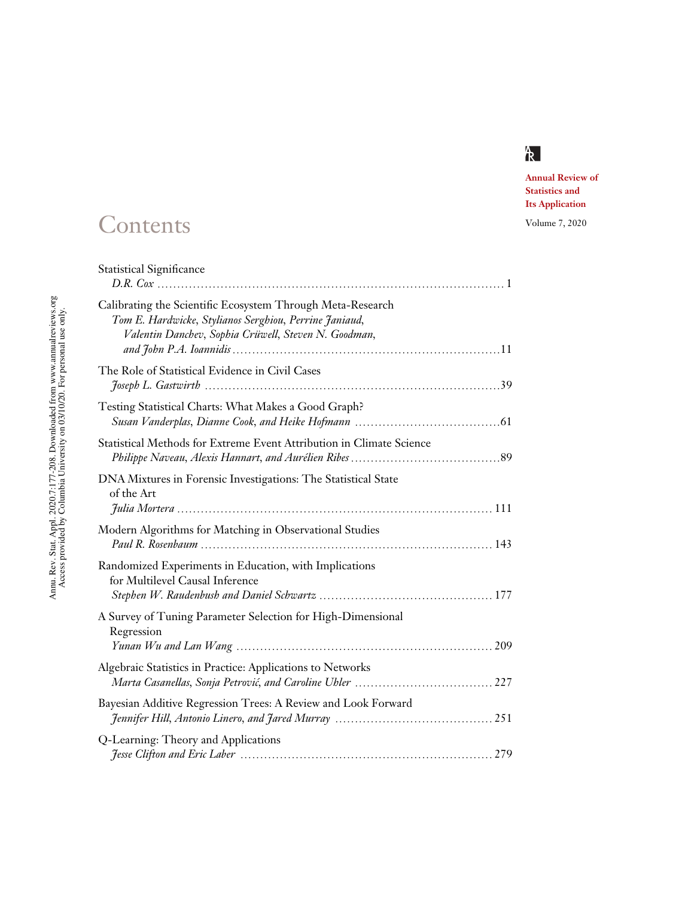

**Annual Review of Statistics and Its Application**

# Contents Volume 7, 2020

| <b>Statistical Significance</b>                                                                                                                                              |
|------------------------------------------------------------------------------------------------------------------------------------------------------------------------------|
| Calibrating the Scientific Ecosystem Through Meta-Research<br>Tom E. Hardwicke, Stylianos Serghiou, Perrine Janiaud,<br>Valentin Danchev, Sophia Crüwell, Steven N. Goodman, |
| The Role of Statistical Evidence in Civil Cases                                                                                                                              |
| Testing Statistical Charts: What Makes a Good Graph?                                                                                                                         |
| Statistical Methods for Extreme Event Attribution in Climate Science                                                                                                         |
| DNA Mixtures in Forensic Investigations: The Statistical State<br>of the Art                                                                                                 |
| Modern Algorithms for Matching in Observational Studies                                                                                                                      |
| Randomized Experiments in Education, with Implications<br>for Multilevel Causal Inference                                                                                    |
| A Survey of Tuning Parameter Selection for High-Dimensional<br>Regression                                                                                                    |
| Algebraic Statistics in Practice: Applications to Networks                                                                                                                   |
| Bayesian Additive Regression Trees: A Review and Look Forward                                                                                                                |
| Q-Learning: Theory and Applications                                                                                                                                          |